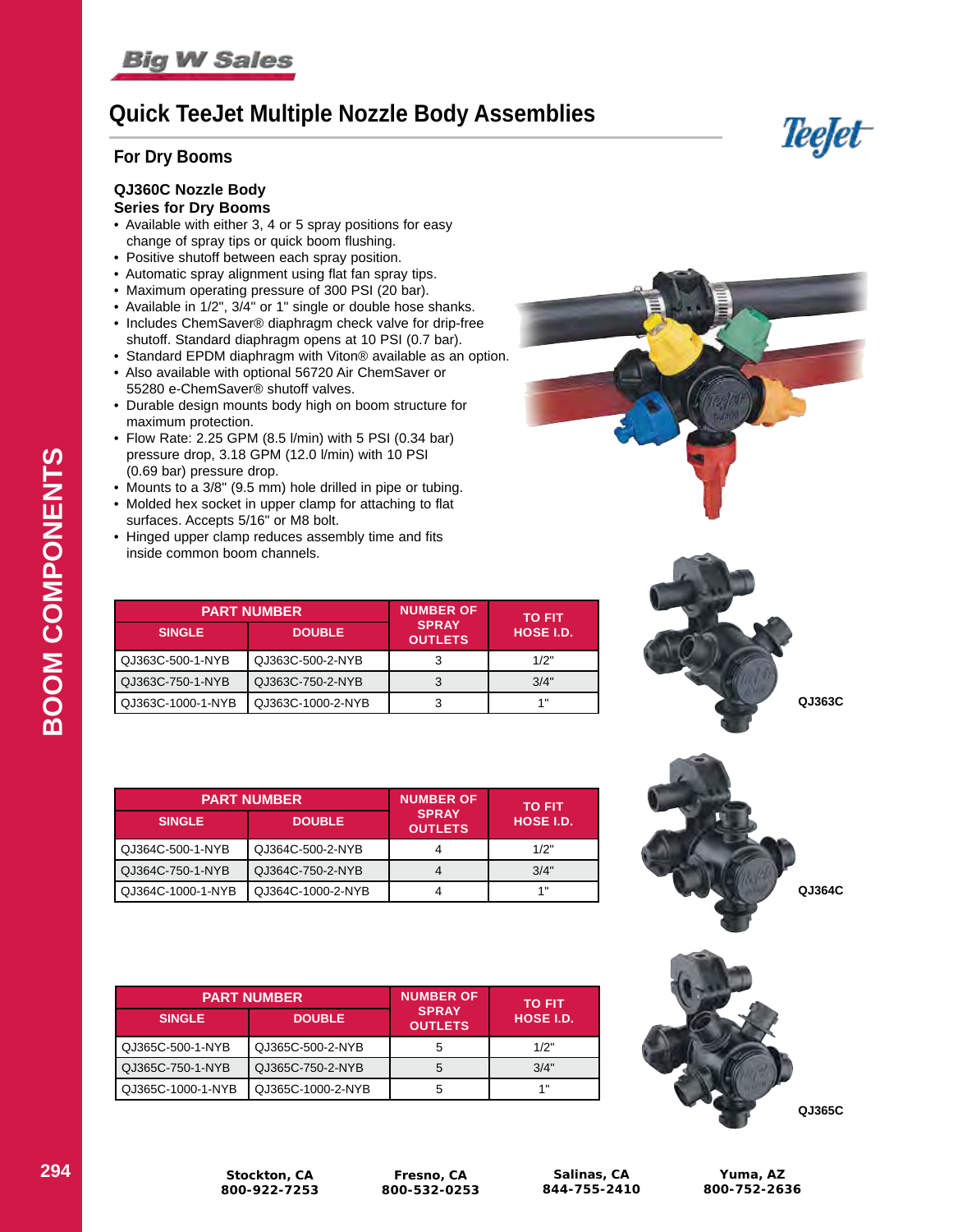# **Quick TeeJet Multiple Nozzle Body Assemblies**

### **For Dry Booms**

### **QJ360C Nozzle Body**

#### **Series for Dry Booms**

- Available with either 3, 4 or 5 spray positions for easy change of spray tips or quick boom flushing.
- Positive shutoff between each spray position.
- Automatic spray alignment using flat fan spray tips.
- Maximum operating pressure of 300 PSI (20 bar).
- Available in 1/2", 3/4" or 1" single or double hose shanks.
- Includes ChemSaver® diaphragm check valve for drip-free shutoff. Standard diaphragm opens at 10 PSI (0.7 bar).
- Standard EPDM diaphragm with Viton® available as an option.
- Also available with optional 56720 Air ChemSaver or 55280 e-ChemSaver® shutoff valves.
- Durable design mounts body high on boom structure for maximum protection.
- Flow Rate: 2.25 GPM (8.5 l/min) with 5 PSI (0.34 bar) pressure drop, 3.18 GPM (12.0 l/min) with 10 PSI (0.69 bar) pressure drop.
- Mounts to a 3/8" (9.5 mm) hole drilled in pipe or tubing.
- Molded hex socket in upper clamp for attaching to flat surfaces. Accepts 5/16" or M8 bolt.
- Hinged upper clamp reduces assembly time and fits inside common boom channels.

|                     | <b>PART NUMBER</b> | <b>NUMBER OF</b>               | <b>TO FIT</b><br>HOSE I.D. |  |
|---------------------|--------------------|--------------------------------|----------------------------|--|
| <b>SINGLE</b>       | <b>DOUBLE</b>      | <b>SPRAY</b><br><b>OUTLETS</b> |                            |  |
| QJ363C-500-1-NYB    | QJ363C-500-2-NYB   |                                | 1/2"                       |  |
| QJ363C-750-1-NYB    | QJ363C-750-2-NYB   |                                | 3/4"                       |  |
| l QJ363C-1000-1-NYB | QJ363C-1000-2-NYB  | 3                              | $\ddotmark$                |  |

| <b>PART NUMBER</b> |                   | <b>NUMBER OF</b>               | <b>TO FIT</b>    |  |
|--------------------|-------------------|--------------------------------|------------------|--|
| <b>SINGLE</b>      | <b>DOUBLE</b>     | <b>SPRAY</b><br><b>OUTLETS</b> | <b>HOSE I.D.</b> |  |
| QJ364C-500-1-NYB   | QJ364C-500-2-NYB  |                                | 1/2"             |  |
| QJ364C-750-1-NYB   | QJ364C-750-2-NYB  |                                | 3/4"             |  |
| QJ364C-1000-1-NYB  | QJ364C-1000-2-NYB | 4                              | 1"               |  |

| <b>PART NUMBER</b> |                   | <b>NUMBER OF</b>               | <b>TO FIT</b>    |  |
|--------------------|-------------------|--------------------------------|------------------|--|
| <b>SINGLE</b>      | <b>DOUBLE</b>     | <b>SPRAY</b><br><b>OUTLETS</b> | <b>HOSE I.D.</b> |  |
| QJ365C-500-1-NYB   | QJ365C-500-2-NYB  | 5                              | 1/2"             |  |
| QJ365C-750-1-NYB   | QJ365C-750-2-NYB  | 5                              | 3/4"             |  |
| QJ365C-1000-1-NYB  | QJ365C-1000-2-NYB | 5                              | 1"               |  |



**Teefet** 







**BOOM COMPONENTS**

BOOM COMPONENTS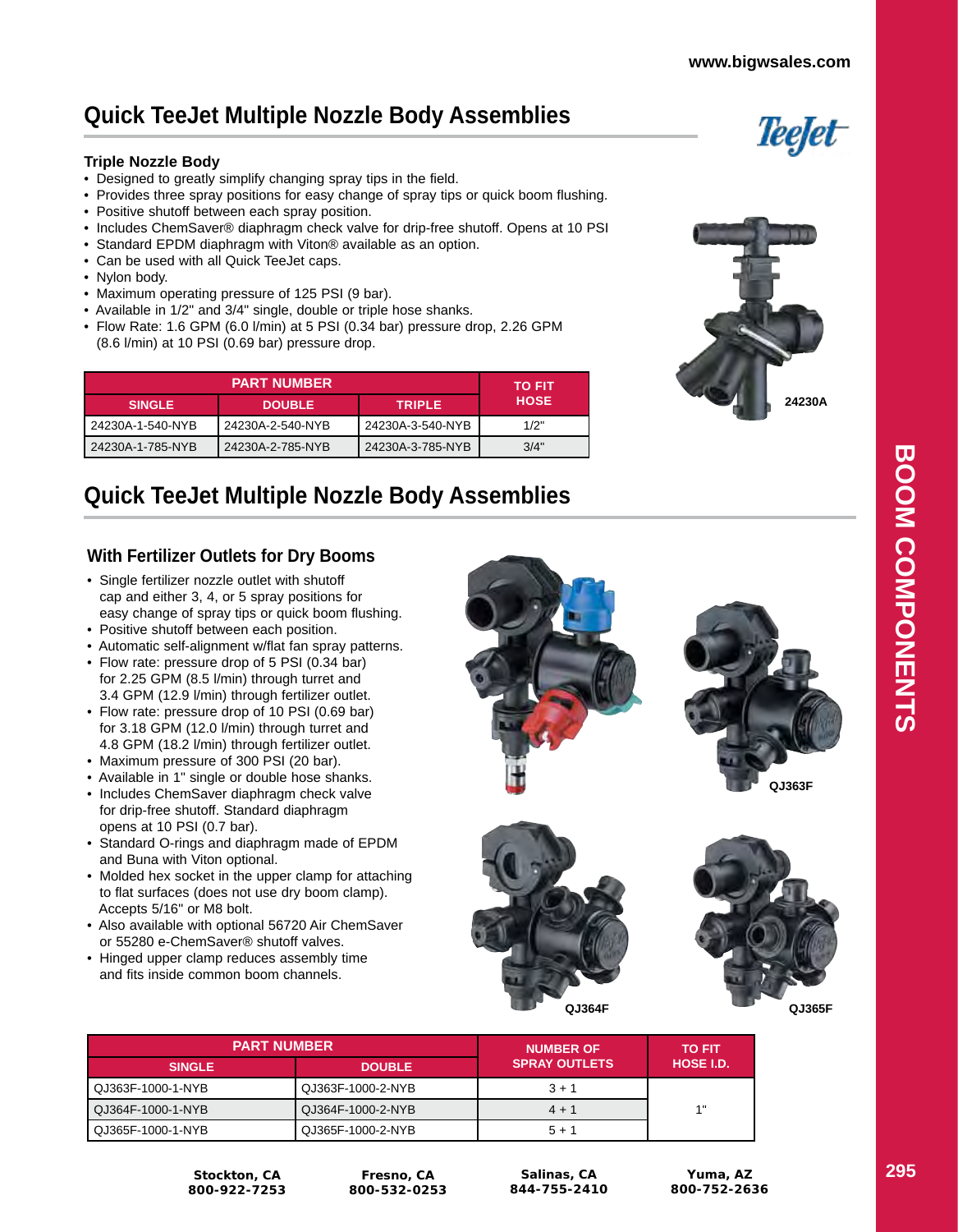Teefet

# **Quick TeeJet Multiple Nozzle Body Assemblies**

#### **Triple Nozzle Body**

- Designed to greatly simplify changing spray tips in the field.
- Provides three spray positions for easy change of spray tips or quick boom flushing.
- Positive shutoff between each spray position.
- Includes ChemSaver® diaphragm check valve for drip-free shutoff. Opens at 10 PSI
- Standard EPDM diaphragm with Viton® available as an option.
- Can be used with all Quick TeeJet caps.
- Nylon body.
- Maximum operating pressure of 125 PSI (9 bar).
- Available in 1/2" and 3/4" single, double or triple hose shanks.
- Flow Rate: 1.6 GPM (6.0 l/min) at 5 PSI (0.34 bar) pressure drop, 2.26 GPM (8.6 l/min) at 10 PSI (0.69 bar) pressure drop.

| <b>PART NUMBER</b> |                  |                  | <b>TO FIT</b> |
|--------------------|------------------|------------------|---------------|
| <b>SINGLE</b>      | <b>DOUBLE</b>    | <b>TRIPLE</b>    | <b>HOSE</b>   |
| 24230A-1-540-NYB   | 24230A-2-540-NYB | 24230A-3-540-NYB | 1/2"          |
| 24230A-1-785-NYB   | 24230A-2-785-NYB | 24230A-3-785-NYB | 3/4"          |



# **Quick TeeJet Multiple Nozzle Body Assemblies**

### **With Fertilizer Outlets for Dry Booms**

- Single fertilizer nozzle outlet with shutoff cap and either 3, 4, or 5 spray positions for easy change of spray tips or quick boom flushing.
- Positive shutoff between each position.
- Automatic self-alignment w/flat fan spray patterns.
- Flow rate: pressure drop of 5 PSI (0.34 bar) for 2.25 GPM (8.5 l/min) through turret and 3.4 GPM (12.9 l/min) through fertilizer outlet.
- Flow rate: pressure drop of 10 PSI (0.69 bar) for 3.18 GPM (12.0 l/min) through turret and 4.8 GPM (18.2 l/min) through fertilizer outlet.
- Maximum pressure of 300 PSI (20 bar).
- Available in 1" single or double hose shanks.
- Includes ChemSaver diaphragm check valve for drip-free shutoff. Standard diaphragm opens at 10 PSI (0.7 bar).
- Standard O-rings and diaphragm made of EPDM and Buna with Viton optional.
- Molded hex socket in the upper clamp for attaching to flat surfaces (does not use dry boom clamp). Accepts 5/16" or M8 bolt.
- Also available with optional 56720 Air ChemSaver or 55280 e-ChemSaver® shutoff valves.
- Hinged upper clamp reduces assembly time and fits inside common boom channels.







| <b>PART NUMBER</b> |                   | <b>NUMBER OF</b>     | <b>TO FIT</b>    |
|--------------------|-------------------|----------------------|------------------|
| <b>SINGLE</b>      | <b>DOUBLE</b>     | <b>SPRAY OUTLETS</b> | <b>HOSE I.D.</b> |
| QJ363F-1000-1-NYB  | QJ363F-1000-2-NYB | $3 + 1$              |                  |
| QJ364F-1000-1-NYB  | QJ364F-1000-2-NYB | $4 + 1$              | 1"               |
| QJ365F-1000-1-NYB  | QJ365F-1000-2-NYB | $5 + 1$              |                  |

**Stockton, CA 800-922-7253**

**Fresno, CA 800-532-0253**

**Salinas, CA 844-755-2410**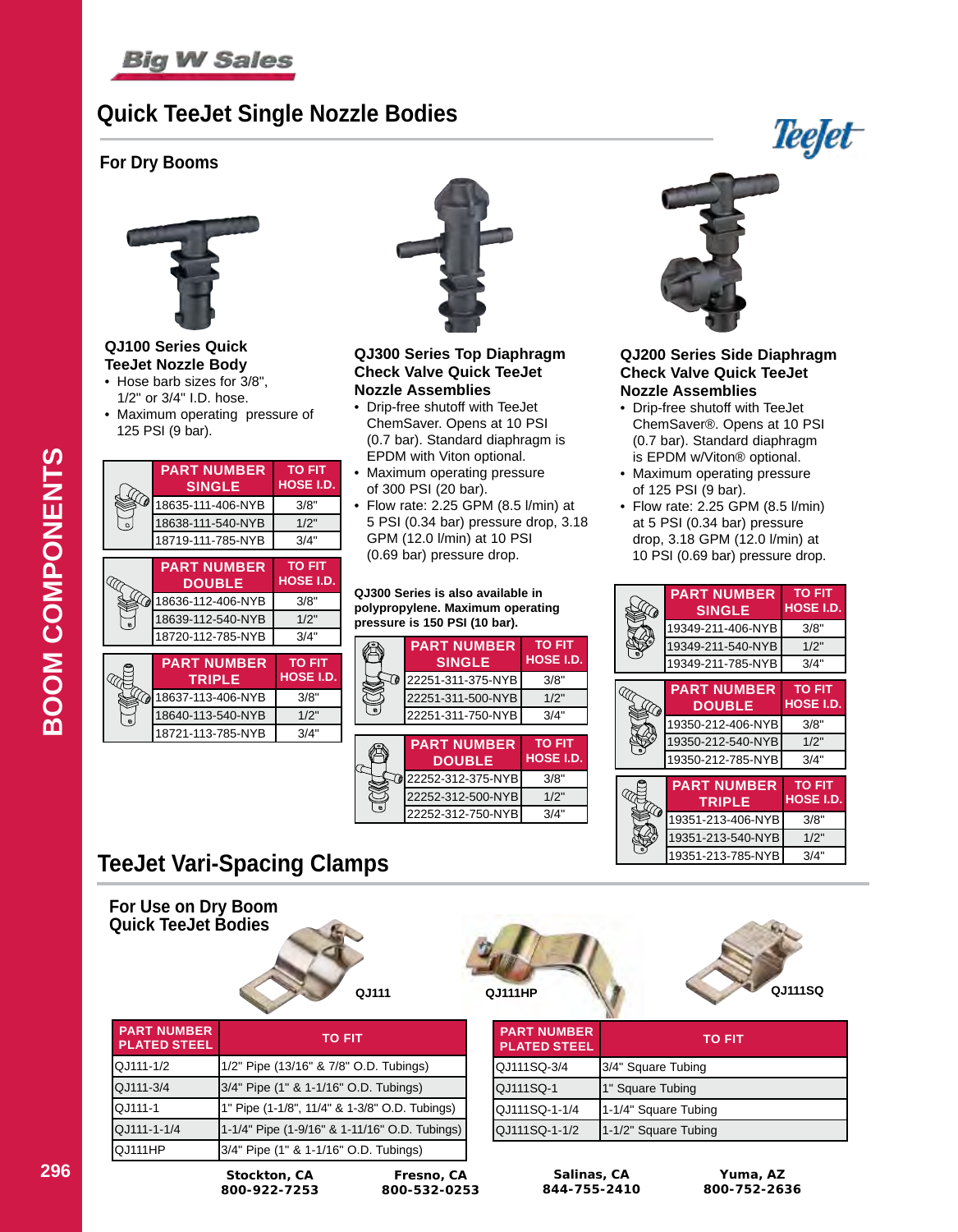

# **Quick TeeJet Single Nozzle Bodies**

### **For Dry Booms**



**QJ100 Series Quick TeeJet Nozzle Body**

- Hose barb sizes for 3/8", 1/2" or 3/4" I.D. hose.
- Maximum operating pressure of 125 PSI (9 bar).

|                                           | <b>PART NUMBER</b><br><b>SINGLE</b> | <b>TO FIT</b><br><b>HOSE I.D.</b> |
|-------------------------------------------|-------------------------------------|-----------------------------------|
| Q)                                        | 18635-111-406-NYB                   | 3/8"                              |
| $\circ$                                   | 18638-111-540-NYB                   | 1/2"                              |
|                                           | 18719-111-785-NYB                   | 3/4"                              |
|                                           |                                     |                                   |
|                                           | <b>PART NUMBER</b>                  | <b>TO FIT</b>                     |
|                                           | <b>DOUBLE</b>                       | <b>HOSE I.D.</b>                  |
| $\widehat{\mathscr{L}}_{\!\!\mathscr{D}}$ | 18636-112-406-NYB                   | 3/8"                              |
| $\ddot{\mathbf{a}}$                       | 18639-112-540-NYB                   | 1/2"                              |
|                                           | 18720-112-785-NYB                   | 3/4"                              |
|                                           |                                     |                                   |
|                                           | <b>PART NUMBER</b>                  | <b>TO FIT</b>                     |
|                                           | <b>TRIPLE</b>                       | <b>HOSE I.D.</b>                  |
| $\mathcal{D}$                             | 18637-113-406-NYB                   | 3/8"                              |
| $\bullet$                                 | 18640-113-540-NYB                   | 1/2"                              |
|                                           | 18721-113-785-NYB                   | 3/4"                              |
|                                           |                                     |                                   |



**QJ300 Series Top Diaphragm Check Valve Quick TeeJet Nozzle Assemblies**

- Drip-free shutoff with TeeJet ChemSaver. Opens at 10 PSI (0.7 bar). Standard diaphragm is EPDM with Viton optional.
- Maximum operating pressure of 300 PSI (20 bar).
- Flow rate: 2.25 GPM (8.5 l/min) at 5 PSI (0.34 bar) pressure drop, 3.18 GPM (12.0 l/min) at 10 PSI (0.69 bar) pressure drop.

#### **QJ300 Series is also available in polypropylene. Maximum operating pressure is 150 PSI (10 bar).**



22252-312-750-NYB 3/4'



**Teefet** 

#### **QJ200 Series Side Diaphragm Check Valve Quick TeeJet Nozzle Assemblies**

- Drip-free shutoff with TeeJet ChemSaver®. Opens at 10 PSI (0.7 bar). Standard diaphragm is EPDM w/Viton® optional.
- Maximum operating pressure of 125 PSI (9 bar).
- Flow rate: 2.25 GPM (8.5 l/min) at 5 PSI (0.34 bar) pressure drop, 3.18 GPM (12.0 l/min) at 10 PSI (0.69 bar) pressure drop.

| ( di                   | <b>PART NUMBER</b><br><b>SINGLE</b> | <b>TO FIT</b><br><b>HOSE I.D.</b> |
|------------------------|-------------------------------------|-----------------------------------|
|                        | 19349-211-406-NYB                   | 3/8"                              |
|                        | 19349-211-540-NYB                   | 1/2"                              |
|                        | 19349-211-785-NYB                   | 3/4"                              |
|                        | <b>PART NUMBER</b>                  | <b>TO FIT</b>                     |
| ( @                    | <b>DOUBLE</b>                       | <b>HOSE I.D.</b>                  |
|                        | 19350-212-406-NYB                   | 3/8"                              |
|                        | 19350-212-540-NYB                   | 1/2"                              |
|                        | 19350-212-785-NYB                   | 3/4"                              |
|                        | <b>PART NUMBER</b>                  | <b>TO FIT</b>                     |
| $\widehat{\mathbb{C}}$ | <b>TRIPLE</b>                       | <b>HOSE I.D.</b>                  |
|                        | 19351-213-406-NYB                   | 3/8"                              |
|                        | 19351-213-540-NYB                   | 1/2"                              |
|                        | 19351-213-785-NYB                   | 3/4"                              |

# **TeeJet Vari-Spacing Clamps**

**For Use on Dry Boom Quick TeeJet Bodies**







| <b>PART NUMBER</b><br><b>PLATED STEEL</b> | TO FIT               |
|-------------------------------------------|----------------------|
| QJ111SQ-3/4                               | 3/4" Square Tubing   |
| QJ111SQ-1                                 | 1" Square Tubing     |
| QJ111SQ-1-1/4                             | 1-1/4" Square Tubing |
| QJ111SQ-1-1/2                             | 1-1/2" Square Tubing |

**296 Stockton, CA**

**Salinas, CA 844-755-2410**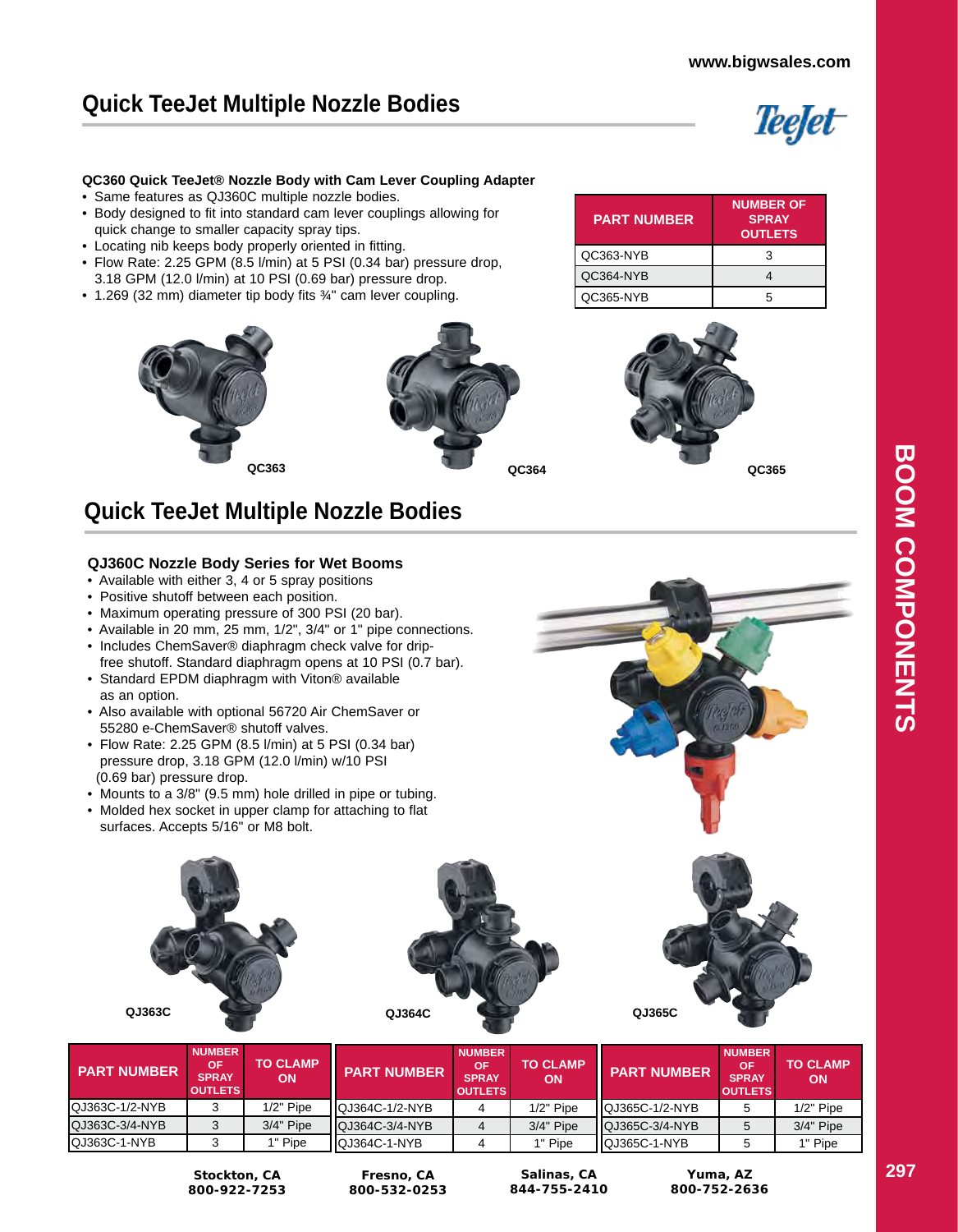# **Quick TeeJet Multiple Nozzle Bodies**



#### **QC360 Quick TeeJet® Nozzle Body with Cam Lever Coupling Adapter**

- Same features as QJ360C multiple nozzle bodies.
- Body designed to fit into standard cam lever couplings allowing for quick change to smaller capacity spray tips.
- Locating nib keeps body properly oriented in fitting.
- Flow Rate: 2.25 GPM (8.5 l/min) at 5 PSI (0.34 bar) pressure drop, 3.18 GPM (12.0 l/min) at 10 PSI (0.69 bar) pressure drop.
- 1.269 (32 mm) diameter tip body fits 3/4" cam lever coupling.







**Quick TeeJet Multiple Nozzle Bodies**

#### **QJ360C Nozzle Body Series for Wet Booms**

- Available with either 3, 4 or 5 spray positions
- Positive shutoff between each position.
- Maximum operating pressure of 300 PSI (20 bar).
- Available in 20 mm, 25 mm, 1/2", 3/4" or 1" pipe connections.
- Includes ChemSaver® diaphragm check valve for drip free shutoff. Standard diaphragm opens at 10 PSI (0.7 bar).
- Standard EPDM diaphragm with Viton® available as an option.
- Also available with optional 56720 Air ChemSaver or 55280 e-ChemSaver® shutoff valves.
- Flow Rate: 2.25 GPM (8.5 l/min) at 5 PSI (0.34 bar) pressure drop, 3.18 GPM (12.0 l/min) w/10 PSI (0.69 bar) pressure drop.
- Mounts to a 3/8" (9.5 mm) hole drilled in pipe or tubing.
- Molded hex socket in upper clamp for attaching to flat surfaces. Accepts 5/16" or M8 bolt.





| <b>PART NUMBER</b> | <b>NUMBER</b><br>ΟF<br><b>SPRAY</b><br><b>OUTLETS</b> | <b>TO CLAMP</b><br>ON | <b>PART NUMBER</b>    | <b>NUMBER</b><br>OF<br><b>SPRAY</b><br><b>OUTLETS</b> | <b>TO CLAMP</b><br><b>ON</b> | <b>PART NUMBER</b>     | <b>NUMBER</b><br><b>OF</b><br><b>SPRAY</b><br><b>OUTLETS</b> | <b>TO CLAMP</b><br><b>ON</b> |
|--------------------|-------------------------------------------------------|-----------------------|-----------------------|-------------------------------------------------------|------------------------------|------------------------|--------------------------------------------------------------|------------------------------|
| QJ363C-1/2-NYB     |                                                       | $1/2"$ Pipe           | IQJ364C-1/2-NYB       |                                                       | $1/2"$ Pipe                  | <b>IQJ365C-1/2-NYB</b> |                                                              | $1/2$ " Pipe                 |
| QJ363C-3/4-NYB     |                                                       | $3/4"$ Pipe           | <b>QJ364C-3/4-NYB</b> |                                                       | $3/4"$ Pipe                  | <b>IQJ365C-3/4-NYB</b> |                                                              | $3/4"$ Pipe                  |
| QJ363C-1-NYB       |                                                       | 1" Pipe               | IQJ364C-1-NYB         |                                                       | 1" Pipe                      | IQJ365C-1-NYB          |                                                              | 1" Pipe                      |

**Stockton, CA 800-922-7253**

**Fresno, CA 800-532-0253**

**Salinas, CA 844-755-2410**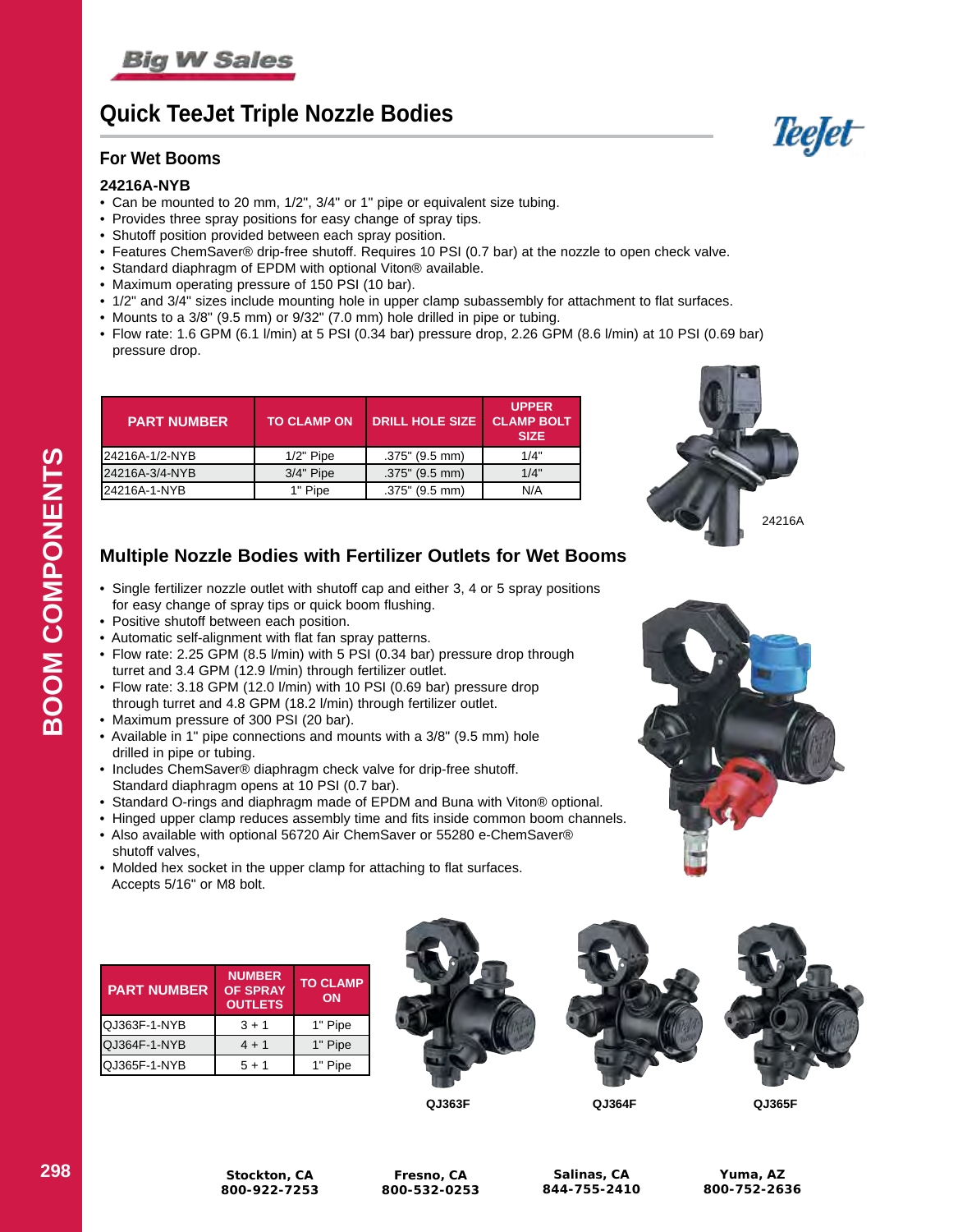

# **Quick TeeJet Triple Nozzle Bodies**

### **For Wet Booms**

### **24216A-NYB**

- Can be mounted to 20 mm, 1/2", 3/4" or 1" pipe or equivalent size tubing.
- Provides three spray positions for easy change of spray tips.
- Shutoff position provided between each spray position.
- Features ChemSaver® drip-free shutoff. Requires 10 PSI (0.7 bar) at the nozzle to open check valve.
- Standard diaphragm of EPDM with optional Viton® available.
- Maximum operating pressure of 150 PSI (10 bar).
- 1/2" and 3/4" sizes include mounting hole in upper clamp subassembly for attachment to flat surfaces.
- Mounts to a 3/8" (9.5 mm) or 9/32" (7.0 mm) hole drilled in pipe or tubing.
- Flow rate: 1.6 GPM (6.1 l/min) at 5 PSI (0.34 bar) pressure drop, 2.26 GPM (8.6 l/min) at 10 PSI (0.69 bar) pressure drop.

| <b>PART NUMBER</b> | <b>TO CLAMP ON</b> | <b>DRILL HOLE SIZE</b> | <b>UPPER</b><br><b>CLAMP BOLT</b><br><b>SIZE</b> |
|--------------------|--------------------|------------------------|--------------------------------------------------|
| 24216A-1/2-NYB     | $1/2$ " Pipe       | $.375"$ (9.5 mm)       | 1/4"                                             |
| 24216A-3/4-NYB     | $3/4"$ Pipe        | $.375$ " (9.5 mm)      | 1/4"                                             |
| 24216A-1-NYB       | 1" Pipe            | $.375$ " (9.5 mm)      | N/A                                              |



### **Multiple Nozzle Bodies with Fertilizer Outlets for Wet Booms**

- Single fertilizer nozzle outlet with shutoff cap and either 3, 4 or 5 spray positions for easy change of spray tips or quick boom flushing.
- Positive shutoff between each position.
- Automatic self-alignment with flat fan spray patterns.
- Flow rate: 2.25 GPM (8.5 l/min) with 5 PSI (0.34 bar) pressure drop through turret and 3.4 GPM (12.9 l/min) through fertilizer outlet.
- Flow rate: 3.18 GPM (12.0 l/min) with 10 PSI (0.69 bar) pressure drop through turret and 4.8 GPM (18.2 l/min) through fertilizer outlet.
- Maximum pressure of 300 PSI (20 bar).
- Available in 1" pipe connections and mounts with a 3/8" (9.5 mm) hole drilled in pipe or tubing.
- Includes ChemSaver® diaphragm check valve for drip-free shutoff. Standard diaphragm opens at 10 PSI (0.7 bar).
- Standard O-rings and diaphragm made of EPDM and Buna with Viton® optional.
- Hinged upper clamp reduces assembly time and fits inside common boom channels.
- Also available with optional 56720 Air ChemSaver or 55280 e-ChemSaver® shutoff valves,
- Molded hex socket in the upper clamp for attaching to flat surfaces. Accepts 5/16" or M8 bolt.

| <b>PART NUMBER</b> | <b>NUMBER</b><br><b>OF SPRAY</b><br><b>OUTLETS</b> | <b>TO CLAMP</b><br>ON |
|--------------------|----------------------------------------------------|-----------------------|
| QJ363F-1-NYB       | $3 + 1$                                            | 1" Pipe               |
| QJ364F-1-NYB       | $4 + 1$                                            | 1" Pipe               |
| QJ365F-1-NYB       | $5 + 1$                                            | 1" Pipe               |









**QJ363F QJ364F QJ365F**

**Yuma, AZ 800-752-2636**



Teefet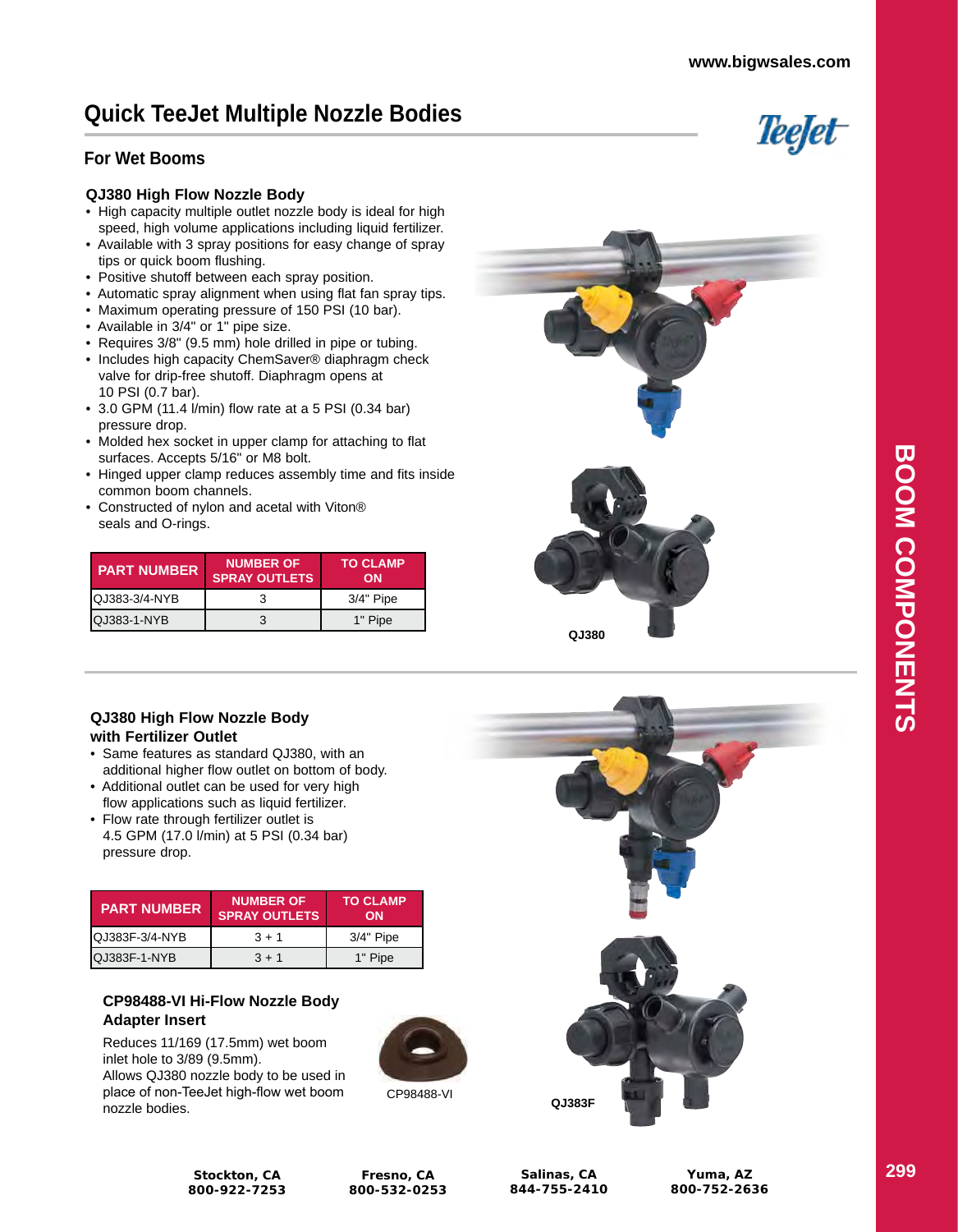Teefet

# **Quick TeeJet Multiple Nozzle Bodies**

### **For Wet Booms**

#### **QJ380 High Flow Nozzle Body**

- High capacity multiple outlet nozzle body is ideal for high speed, high volume applications including liquid fertilizer.
- Available with 3 spray positions for easy change of spray tips or quick boom flushing.
- Positive shutoff between each spray position.
- Automatic spray alignment when using flat fan spray tips.
- Maximum operating pressure of 150 PSI (10 bar).
- Available in 3/4" or 1" pipe size.
- Requires 3/8" (9.5 mm) hole drilled in pipe or tubing.
- Includes high capacity ChemSaver® diaphragm check valve for drip-free shutoff. Diaphragm opens at 10 PSI (0.7 bar).
- 3.0 GPM (11.4 l/min) flow rate at a 5 PSI (0.34 bar) pressure drop.
- Molded hex socket in upper clamp for attaching to flat surfaces. Accepts 5/16" or M8 bolt.
- Hinged upper clamp reduces assembly time and fits inside common boom channels.
- Constructed of nylon and acetal with Viton® seals and O-rings.

| <b>PART NUMBER</b>    | <b>NUMBER OF</b><br><b>SPRAY OUTLETS.</b> | <b>TO CLAMP</b><br>ON |
|-----------------------|-------------------------------------------|-----------------------|
| <b>IQJ383-3/4-NYB</b> |                                           | $3/4"$ Pipe           |
| <b>IQJ383-1-NYB</b>   | 3                                         | 1" Pipe               |



**QJ380**

#### **QJ380 High Flow Nozzle Body with Fertilizer Outlet**

- Same features as standard QJ380, with an additional higher flow outlet on bottom of body.
- Additional outlet can be used for very high flow applications such as liquid fertilizer.
- Flow rate through fertilizer outlet is 4.5 GPM (17.0 l/min) at 5 PSI (0.34 bar) pressure drop.

| <b>PART NUMBER</b>     | <b>NUMBER OF</b><br><b>SPRAY OUTLETS</b> | <b>TO CLAMP</b><br>ON |  |  |
|------------------------|------------------------------------------|-----------------------|--|--|
| <b>IQJ383F-3/4-NYB</b> | $3 + 1$                                  | $3/4"$ Pipe           |  |  |
| IQJ383F-1-NYB          | $3 + 1$                                  | 1" Pipe               |  |  |

### **CP98488-VI Hi-Flow Nozzle Body Adapter Insert**

Reduces 11/169 (17.5mm) wet boom inlet hole to 3/89 (9.5mm). Allows QJ380 nozzle body to be used in place of non-TeeJet high-flow wet boom nozzle bodies.



CP98488-VI



**Stockton, CA 800-922-7253**

**Fresno, CA 800-532-0253**

**Salinas, CA 844-755-2410**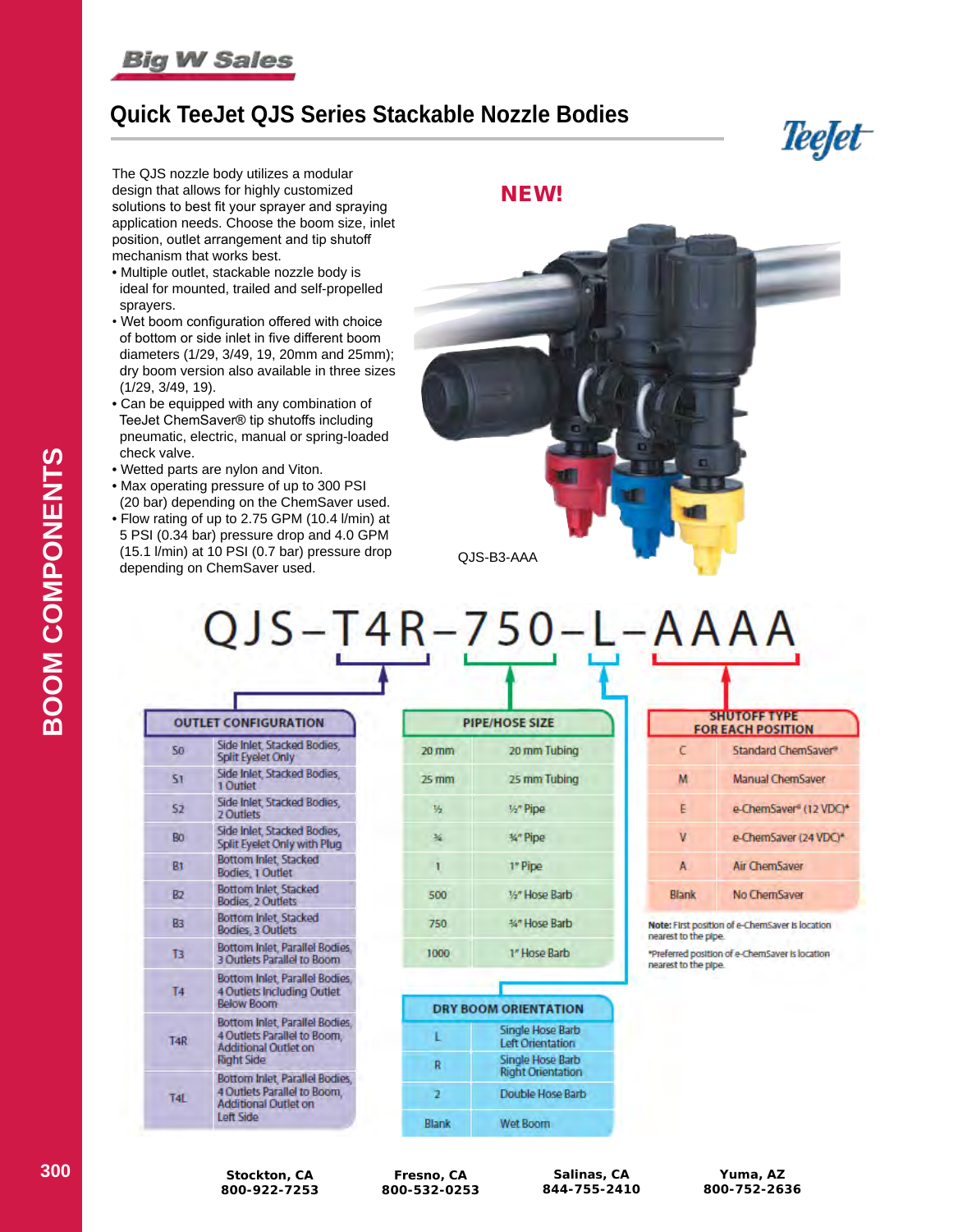# **Big W Sales**

# **Quick TeeJet QJS Series Stackable Nozzle Bodies**

*Teejet* 

The QJS nozzle body utilizes a modular design that allows for highly customized solutions to best fit your sprayer and spraying application needs. Choose the boom size, inlet position, outlet arrangement and tip shutoff mechanism that works best.

- Multiple outlet, stackable nozzle body is ideal for mounted, trailed and self-propelled sprayers.
- Wet boom configuration offered with choice of bottom or side inlet in five different boom diameters (1/29, 3/49, 19, 20mm and 25mm); dry boom version also available in three sizes (1/29, 3/49, 19).
- Can be equipped with any combination of TeeJet ChemSaver® tip shutoffs including pneumatic, electric, manual or spring-loaded check valve.
- Wetted parts are nylon and Viton.
- Max operating pressure of up to 300 PSI (20 bar) depending on the ChemSaver used.
- Flow rating of up to 2.75 GPM (10.4 l/min) at 5 PSI (0.34 bar) pressure drop and 4.0 GPM (15.1 l/min) at 10 PSI (0.7 bar) pressure drop depending on ChemSaver used.

NEW!



)JS-T4R-750- $-{\bf AAAA}$ 

| <b>OUTLET CONFIGURATION</b> |                                                                                                                   |  |  |  |
|-----------------------------|-------------------------------------------------------------------------------------------------------------------|--|--|--|
| -50                         | Side Inlet, Stacked Bodies,<br><b>Split Eyelet Only</b>                                                           |  |  |  |
| 51                          | Side Inlet, Stacked Bodies.<br>1 Outlet                                                                           |  |  |  |
| 52                          | Side Inlet, Stacked Bodies,<br><b>2 Outlets</b>                                                                   |  |  |  |
| Ro.                         | Side Inlet, Stacked Bodies,<br>Split Eyelet Only with Plug                                                        |  |  |  |
| R1                          | <b>Bottom Inlet, Stacked</b><br>Bodies, 1 Outlet                                                                  |  |  |  |
| R                           | <b>Bottom Inlet, Stacked</b><br>Bodies, 2 Outlets                                                                 |  |  |  |
| Rз                          | Bottom Inlet, Stacked<br>Bodies, 3 Outlets                                                                        |  |  |  |
| 13                          | Bottom Inlet, Parallel Bodies,<br>3 Outlets Parallel to Boom                                                      |  |  |  |
| T4                          | Bottom Inlet, Parallel Bodies.<br><b>4 Outlets Including Outlet</b><br>Below Boom                                 |  |  |  |
| T <sub>4R</sub>             | Bottom Inlet, Parallel Bodies,<br>4 Outlets Parallel to Boom.<br><b>Additional Outlet on</b><br><b>Right Side</b> |  |  |  |
| T4                          | Bottom Inlet, Parallel Bodies,<br>4 Outlets Parallel to Boom.<br>Additional Outlet on<br>Left Side                |  |  |  |

| <b>PIPE/HOSE SIZE</b> |                |  |  |  |
|-----------------------|----------------|--|--|--|
| 20 mm                 | 20 mm Tubing   |  |  |  |
| 25 mm                 | 25 mm Tubing   |  |  |  |
| $V_2$                 | 1/2" Pipe      |  |  |  |
| 延                     | %" Pipe        |  |  |  |
| $\ddot{\phantom{a}}$  | 1" Pipe        |  |  |  |
| 500                   | 3/2" Hose Barb |  |  |  |
| 750                   | 34" Hose Barb  |  |  |  |
| 1000                  | 1" Hose Barb   |  |  |  |

|       | <b>DRY BOOM ORIENTATION</b>                  |
|-------|----------------------------------------------|
|       | Single Hose Barb<br><b>Left Orientation</b>  |
| R     | Single Hose Barb<br><b>Right Orientation</b> |
|       | Double Hose Barb                             |
| Blank | Wet Boom                                     |

| <b>SHUTOFF TYPE</b><br><b>FOR EACH POSITION</b> |                        |  |  |  |
|-------------------------------------------------|------------------------|--|--|--|
| г                                               | Standard ChemSaver®    |  |  |  |
| M                                               | Manual ChemSaver       |  |  |  |
| E                                               | e-ChemSaver® (12 VDC)* |  |  |  |
| v                                               | e-ChemSaver (24 VDC)*  |  |  |  |
| A                                               | Air ChemSaver          |  |  |  |
| Blank                                           | No ChemSaver           |  |  |  |
|                                                 |                        |  |  |  |

Note: First position of e-ChemSaver is location nearest to the pipe. \*Preferred position of e-ChemSaver is location

nearest to the pipe.

**Fresno, CA 800-532-0253**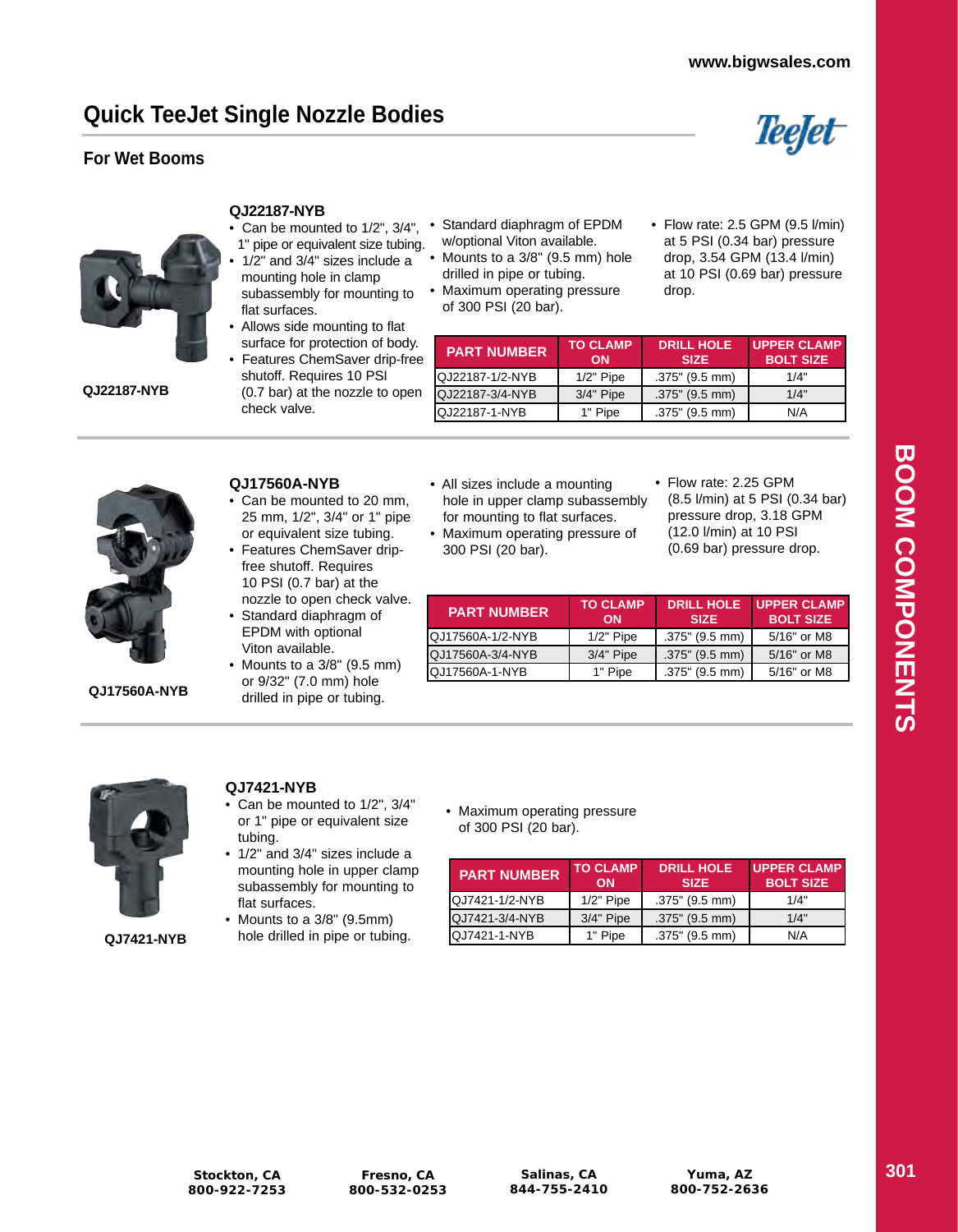# **Quick TeeJet Single Nozzle Bodies**

### **For Wet Booms**





**QJ22187-NYB**

#### **QJ22187-NYB**

- Can be mounted to 1/2", 3/4", •
- 1" pipe or equivalent size tubing. • 1/2" and 3/4" sizes include a mounting hole in clamp subassembly for mounting to flat surfaces.
- Allows side mounting to flat surface for protection of body.
- Features ChemSaver drip-free shutoff. Requires 10 PSI (0.7 bar) at the nozzle to open check valve.
- Standard diaphragm of EPDM w/optional Viton available.
- Mounts to a 3/8" (9.5 mm) hole drilled in pipe or tubing.
- Maximum operating pressure of 300 PSI (20 bar).
- Flow rate: 2.5 GPM (9.5 l/min) at 5 PSI (0.34 bar) pressure drop, 3.54 GPM (13.4 l/min) at 10 PSI (0.69 bar) pressure drop.

| <b>PART NUMBER</b>   | <b>TO CLAMP</b><br>ON | <b>DRILL HOLE</b><br><b>SIZE</b> | <b>UPPER CLAMP</b><br><b>BOLT SIZE</b> |
|----------------------|-----------------------|----------------------------------|----------------------------------------|
| IQJ22187-1/2-NYB     | $1/2"$ Pipe           | .375" (9.5 mm)                   | 1/4"                                   |
| QJ22187-3/4-NYB      | $3/4"$ Pipe           | $.375$ " (9.5 mm)                | 1/4"                                   |
| <b>QJ22187-1-NYB</b> | 1" Pipe               | .375" (9.5 mm)                   | N/A                                    |

**QJ17560A-NYB**

### **QJ17560A-NYB** • Can be mounted to 20 mm,

- 25 mm, 1/2", 3/4" or 1" pipe or equivalent size tubing. • Features ChemSaver drip-
- free shutoff. Requires 10 PSI (0.7 bar) at the nozzle to open check valve.
- Standard diaphragm of EPDM with optional Viton available.
- Mounts to a 3/8" (9.5 mm) or 9/32" (7.0 mm) hole drilled in pipe or tubing.
- All sizes include a mounting hole in upper clamp subassembly for mounting to flat surfaces.
- Maximum operating pressure of 300 PSI (20 bar).
- Flow rate: 2.25 GPM (8.5 l/min) at 5 PSI (0.34 bar) pressure drop, 3.18 GPM (12.0 l/min) at 10 PSI (0.69 bar) pressure drop.

| <b>PART NUMBER</b>    | <b>TO CLAMP</b><br>ON | <b>DRILL HOLE</b><br><b>SIZE</b> | <b>UPPER CLAMP</b><br><b>BOLT SIZE</b> |
|-----------------------|-----------------------|----------------------------------|----------------------------------------|
| QJ17560A-1/2-NYB      | $1/2$ " Pipe          | $.375$ " (9.5 mm)                | 5/16" or M8                            |
| QJ17560A-3/4-NYB      | $3/4"$ Pipe           | $.375$ " (9.5 mm)                | 5/16" or M8                            |
| <b>QJ17560A-1-NYB</b> | 1" Pipe               | $.375$ " (9.5 mm)                | 5/16" or M8                            |



**QJ7421-NYB**

• Can be mounted to 1/2", 3/4"

**QJ7421-NYB**

- or 1" pipe or equivalent size tubing. • 1/2" and 3/4" sizes include a
- mounting hole in upper clamp subassembly for mounting to flat surfaces.
- Mounts to a 3/8" (9.5mm) hole drilled in pipe or tubing.
- Maximum operating pressure of 300 PSI (20 bar).

| <b>PART NUMBER</b>     | <b>TO CLAMP</b><br>ON | <b>DRILL HOLE</b><br><b>SIZE</b> | <b>UPPER CLAMP</b><br><b>BOLT SIZE</b> |
|------------------------|-----------------------|----------------------------------|----------------------------------------|
| <b>IQJ7421-1/2-NYB</b> | $1/2$ " Pipe          | $.375$ " (9.5 mm)                | 1/4"                                   |
| QJ7421-3/4-NYB         | $3/4"$ Pipe           | $.375$ " (9.5 mm)                | 1/4"                                   |
| IQJ7421-1-NYB          | 1" Pipe               | $.375$ " (9.5 mm)                | N/A                                    |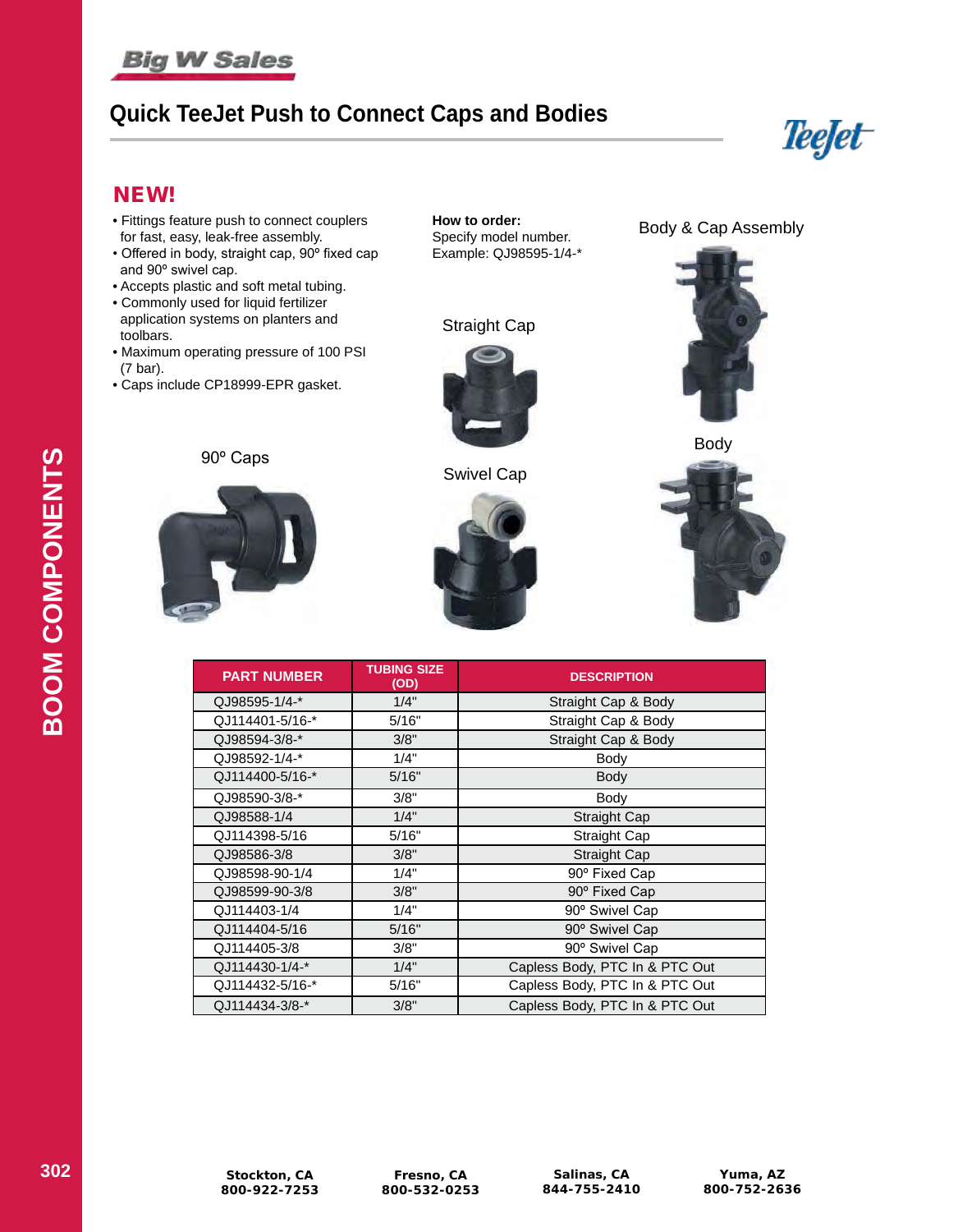# **Big W Sales**

# **Quick TeeJet Push to Connect Caps and Bodies**



### NEW!

- Fittings feature push to connect couplers for fast, easy, leak-free assembly.
- Offered in body, straight cap, 90º fixed cap and 90º swivel cap.
- Accepts plastic and soft metal tubing.
- Commonly used for liquid fertilizer application systems on planters and toolbars.
- Maximum operating pressure of 100 PSI (7 bar).
- Caps include CP18999-EPR gasket.

**How to order:** Specify model number. Example: QJ98595-1/4-\*







Swivel Cap



Body & Cap Assembly





| <b>PART NUMBER</b> | <b>TUBING SIZE</b><br>(OD) | <b>DESCRIPTION</b>             |
|--------------------|----------------------------|--------------------------------|
| QJ98595-1/4-*      | 1/4"                       | Straight Cap & Body            |
| QJ114401-5/16-*    | 5/16"                      | Straight Cap & Body            |
| QJ98594-3/8-*      | 3/8"                       | Straight Cap & Body            |
| QJ98592-1/4-*      | 1/4"                       | Body                           |
| QJ114400-5/16-*    | 5/16"                      | <b>Body</b>                    |
| QJ98590-3/8-*      | 3/8"                       | Body                           |
| QJ98588-1/4        | 1/4"                       | Straight Cap                   |
| QJ114398-5/16      | 5/16"                      | Straight Cap                   |
| QJ98586-3/8        | 3/8"                       | Straight Cap                   |
| QJ98598-90-1/4     | 1/4"                       | 90° Fixed Cap                  |
| QJ98599-90-3/8     | 3/8"                       | 90° Fixed Cap                  |
| QJ114403-1/4       | 1/4"                       | 90° Swivel Cap                 |
| QJ114404-5/16      | 5/16"                      | 90° Swivel Cap                 |
| QJ114405-3/8       | 3/8"                       | 90° Swivel Cap                 |
| QJ114430-1/4-*     | 1/4"                       | Capless Body, PTC In & PTC Out |
| QJ114432-5/16-*    | 5/16"                      | Capless Body, PTC In & PTC Out |
| QJ114434-3/8-*     | 3/8"                       | Capless Body, PTC In & PTC Out |

**Fresno, CA 800-532-0253**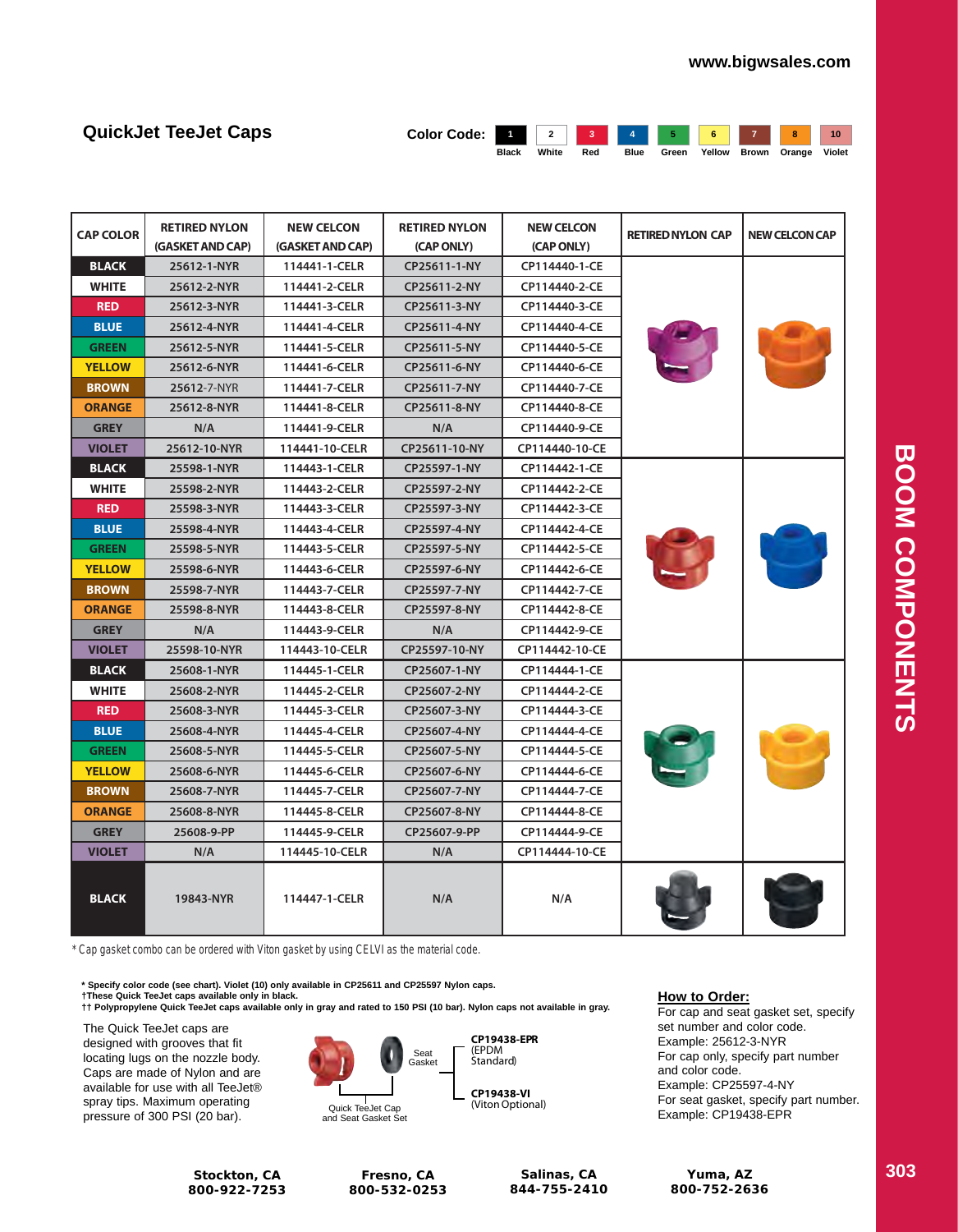| <b>QuickJet TeeJet Caps</b> | Color Code: 1 2 3 4 5 6 7 8 10 |              |       |     |      |       |        |              |        |
|-----------------------------|--------------------------------|--------------|-------|-----|------|-------|--------|--------------|--------|
|                             |                                | <b>Black</b> | White | Red | Blue | Green | Yellow | Brown Orange | Violet |

| <b>CAP COLOR</b> | <b>RETIRED NYLON</b><br>(GASKET AND CAP) | <b>NEW CELCON</b><br>(GASKET AND CAP) | <b>RETIRED NYLON</b><br>(CAP ONLY) | <b>NEW CELCON</b><br><b>RETIRED NYLON CAP</b><br>(CAP ONLY) |  | <b>NEW CELCON CAP</b> |
|------------------|------------------------------------------|---------------------------------------|------------------------------------|-------------------------------------------------------------|--|-----------------------|
| <b>BLACK</b>     | 25612-1-NYR                              | 114441-1-CELR                         | CP25611-1-NY                       | CP114440-1-CE                                               |  |                       |
| <b>WHITE</b>     | 25612-2-NYR                              | 114441-2-CELR                         | CP25611-2-NY                       | CP114440-2-CE                                               |  |                       |
| <b>RED</b>       | 25612-3-NYR                              | 114441-3-CELR                         | CP25611-3-NY                       | CP114440-3-CE                                               |  |                       |
| <b>BLUE</b>      | 25612-4-NYR                              | 114441-4-CELR                         | CP25611-4-NY                       | CP114440-4-CE                                               |  |                       |
| <b>GREEN</b>     | 25612-5-NYR                              | 114441-5-CELR                         | CP25611-5-NY                       | CP114440-5-CE                                               |  |                       |
| <b>YELLOW</b>    | 25612-6-NYR                              | 114441-6-CELR                         | CP25611-6-NY                       | CP114440-6-CE                                               |  |                       |
| <b>BROWN</b>     | 25612-7-NYR                              | 114441-7-CELR                         | CP25611-7-NY                       | CP114440-7-CE                                               |  |                       |
| <b>ORANGE</b>    | 25612-8-NYR                              | 114441-8-CELR                         | CP25611-8-NY                       | CP114440-8-CE                                               |  |                       |
| <b>GREY</b>      | N/A                                      | 114441-9-CELR                         | N/A                                | CP114440-9-CE                                               |  |                       |
| <b>VIOLET</b>    | 25612-10-NYR                             | 114441-10-CELR                        | CP25611-10-NY                      | CP114440-10-CE                                              |  |                       |
| <b>BLACK</b>     | 25598-1-NYR                              | 114443-1-CELR                         | CP25597-1-NY                       | CP114442-1-CE                                               |  |                       |
| <b>WHITE</b>     | 25598-2-NYR                              | 114443-2-CELR                         | CP25597-2-NY                       | CP114442-2-CE                                               |  |                       |
| <b>RED</b>       | 25598-3-NYR                              | 114443-3-CELR                         | CP25597-3-NY                       | CP114442-3-CE                                               |  |                       |
| <b>BLUE</b>      | 25598-4-NYR                              | 114443-4-CELR                         | CP25597-4-NY                       | CP114442-4-CE                                               |  |                       |
| <b>GREEN</b>     | 25598-5-NYR                              | 114443-5-CELR                         | CP25597-5-NY                       | CP114442-5-CE                                               |  |                       |
| <b>YELLOW</b>    | 25598-6-NYR                              | 114443-6-CELR                         | CP25597-6-NY                       | CP114442-6-CE                                               |  |                       |
| <b>BROWN</b>     | 25598-7-NYR                              | 114443-7-CELR                         | CP25597-7-NY                       | CP114442-7-CE                                               |  |                       |
| <b>ORANGE</b>    | 25598-8-NYR                              | 114443-8-CELR                         | CP25597-8-NY                       | CP114442-8-CE                                               |  |                       |
| <b>GREY</b>      | N/A                                      | 114443-9-CELR                         | N/A                                | CP114442-9-CE                                               |  |                       |
| <b>VIOLET</b>    | 25598-10-NYR                             | 114443-10-CELR                        | CP25597-10-NY                      | CP114442-10-CE                                              |  |                       |
| <b>BLACK</b>     | 25608-1-NYR                              | 114445-1-CELR                         | CP25607-1-NY                       | CP114444-1-CE                                               |  |                       |
| <b>WHITE</b>     | 25608-2-NYR                              | 114445-2-CELR                         | CP25607-2-NY                       | CP114444-2-CE                                               |  |                       |
| <b>RED</b>       | 25608-3-NYR                              | 114445-3-CELR                         | CP25607-3-NY                       | CP114444-3-CE                                               |  |                       |
| <b>BLUE</b>      | 25608-4-NYR                              | 114445-4-CELR                         | CP25607-4-NY                       | CP114444-4-CE                                               |  |                       |
| <b>GREEN</b>     | 25608-5-NYR                              | 114445-5-CELR                         | CP25607-5-NY                       | CP114444-5-CE                                               |  |                       |
| <b>YELLOW</b>    | 25608-6-NYR                              | 114445-6-CELR                         | CP25607-6-NY                       | CP114444-6-CE                                               |  |                       |
| <b>BROWN</b>     | 25608-7-NYR                              | 114445-7-CELR                         | CP25607-7-NY                       | CP114444-7-CE                                               |  |                       |
| <b>ORANGE</b>    | 25608-8-NYR                              | 114445-8-CELR                         | CP25607-8-NY                       | CP114444-8-CE                                               |  |                       |
| <b>GREY</b>      | 25608-9-PP                               | 114445-9-CELR                         | CP25607-9-PP                       | CP114444-9-CE                                               |  |                       |
| <b>VIOLET</b>    | N/A                                      | 114445-10-CELR                        | N/A                                | CP114444-10-CE                                              |  |                       |
| <b>BLACK</b>     | 19843-NYR                                | 114447-1-CELR                         | N/A                                | N/A                                                         |  |                       |

*\* Cap gasket combo can be ordered with Viton gasket by using CELVI as the material code.*

**\* Specify color code (see chart). Violet (10) only available in CP25611 and CP25597 Nylon caps. †These Quick TeeJet caps available only in black. †† Polypropylene Quick TeeJet caps available only in gray and rated to 150 PSI (10 bar). Nylon caps not available in gray.** of the Color Code (see Chart). Violet (10) only available in Or 20011 and Or 20037 **Wylon Cap**<br>e Quick TeeJet caps available only in black.

The Quick TeeJet caps are designed with grooves that fit locating lugs on the nozzle body. Caps are made of Nylon and are available for use with all TeeJet® spray tips. Maximum operating pressure of 300 PSI (20 bar).

> **Stockton, CA 800-922-7253**

Quick TeeJet Cap and Seat Gasket Set

**Fresno, CA 800-532-0253**

Seat Gasket



**CP19438-VI** (Viton Optional)

**Salinas, CA 844-755-2410**

#### **How to Order:**

For cap and seat gasket set, specify set number and color code. Example: 25612-3-NYR For cap only, specify part number and color code. Example: CP25597-4-NY For seat gasket, specify part number. Example: CP19438-EPR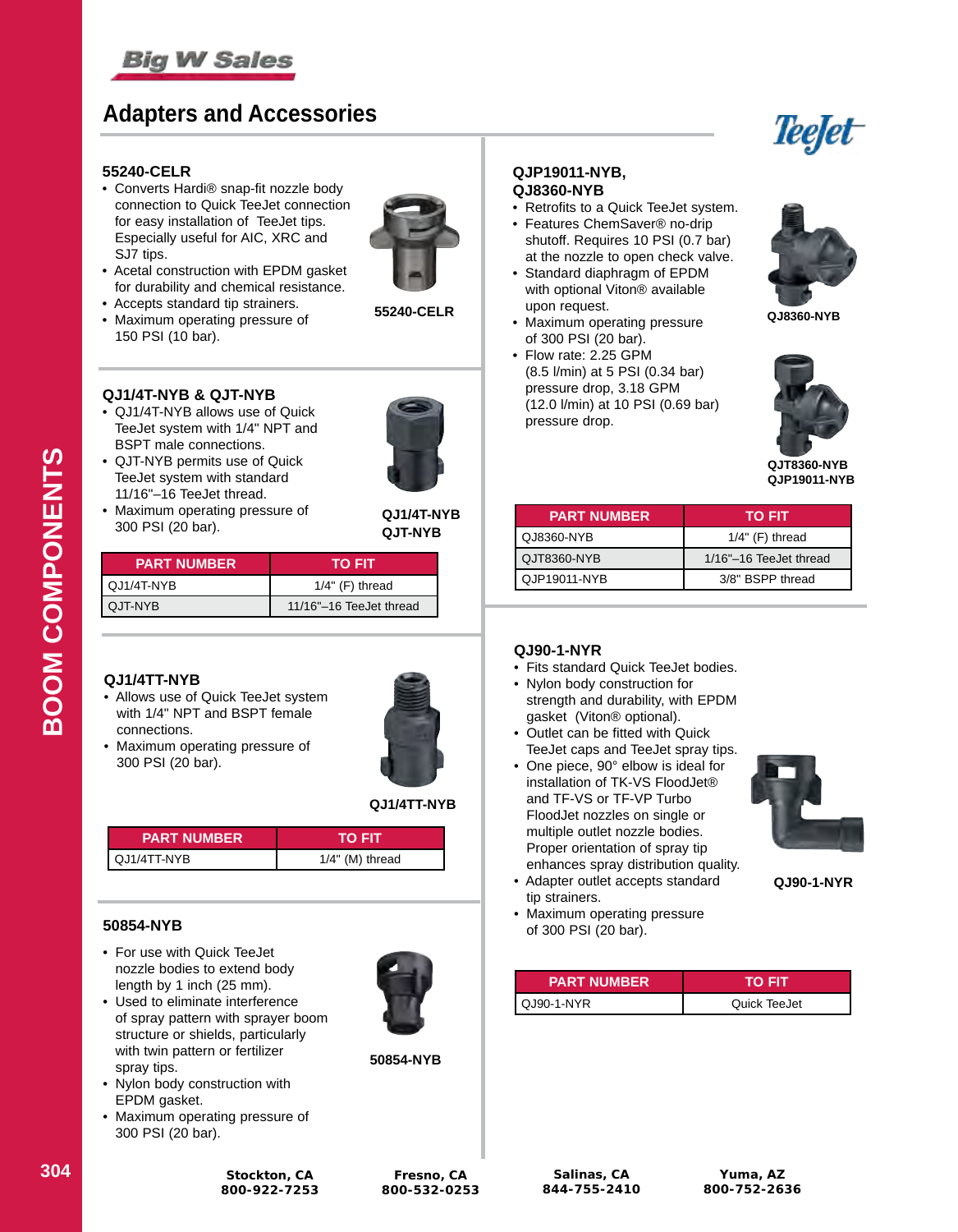

# **Adapters and Accessories**



#### **55240-CELR**

• Converts Hardi® snap-fit nozzle body connection to Quick TeeJet connection for easy installation of TeeJet tips. Especially useful for AIC, XRC and SJ7 tips.



- Acetal construction with EPDM gasket for durability and chemical resistance. • Accepts standard tip strainers.
- 
- Maximum operating pressure of 150 PSI (10 bar).



#### **QJ1/4T-NYB & QJT-NYB**

• QJ1/4T-NYB allows use of Quick TeeJet system with 1/4" NPT and BSPT male connections.



- QJT-NYB permits use of Quick TeeJet system with standard 11/16"–16 TeeJet thread.
- Maximum operating pressure of 300 PSI (20 bar).

**QJ1/4T-NYB QJT-NYB**

| <b>PART NUMBER</b> | TO FIT                  |
|--------------------|-------------------------|
| QJ1/4T-NYB         | $1/4$ " (F) thread      |
| QJT-NYB            | 11/16"-16 TeeJet thread |

#### **QJ1/4TT-NYB**

• Allows use of Quick TeeJet system with 1/4" NPT and BSPT female connections.



• Maximum operating pressure of 300 PSI (20 bar).



| <b>PART NUMBER</b> | το ειτ             |
|--------------------|--------------------|
| QJ1/4TT-NYB        | $1/4$ " (M) thread |

#### **50854-NYB**

- For use with Quick TeeJet nozzle bodies to extend body length by 1 inch (25 mm).
- Used to eliminate interference of spray pattern with sprayer boom structure or shields, particularly with twin pattern or fertilizer spray tips.
- Nylon body construction with EPDM gasket.
- Maximum operating pressure of 300 PSI (20 bar).



**50854-NYB**

#### **QJP19011-NYB, QJ8360-NYB**

- Retrofits to a Quick TeeJet system.
- Features ChemSaver® no-drip
- shutoff. Requires 10 PSI (0.7 bar) at the nozzle to open check valve. • Standard diaphragm of EPDM
- with optional Viton® available upon request.
- Maximum operating pressure of 300 PSI (20 bar).
- Flow rate: 2.25 GPM (8.5 l/min) at 5 PSI (0.34 bar) pressure drop, 3.18 GPM (12.0 l/min) at 10 PSI (0.69 bar) pressure drop.





**QJT8360-NYB QJP19011-NYB**

| TO FIT                 |
|------------------------|
| $1/4$ " (F) thread     |
| 1/16"-16 TeeJet thread |
| 3/8" BSPP thread       |
|                        |

#### **QJ90-1-NYR**

- Fits standard Quick TeeJet bodies.
- Nylon body construction for strength and durability, with EPDM gasket (Viton® optional).
- Outlet can be fitted with Quick TeeJet caps and TeeJet spray tips.
- One piece, 90° elbow is ideal for installation of TK-VS FloodJet® and TF-VS or TF-VP Turbo FloodJet nozzles on single or multiple outlet nozzle bodies. Proper orientation of spray tip enhances spray distribution quality. • Adapter outlet accepts standard



**QJ90-1-NYR**

 tip strainers. • Maximum operating pressure of 300 PSI (20 bar).

| <b>PART NUMBER</b> | το ειτ       |
|--------------------|--------------|
| QJ90-1-NYR         | Quick TeeJet |

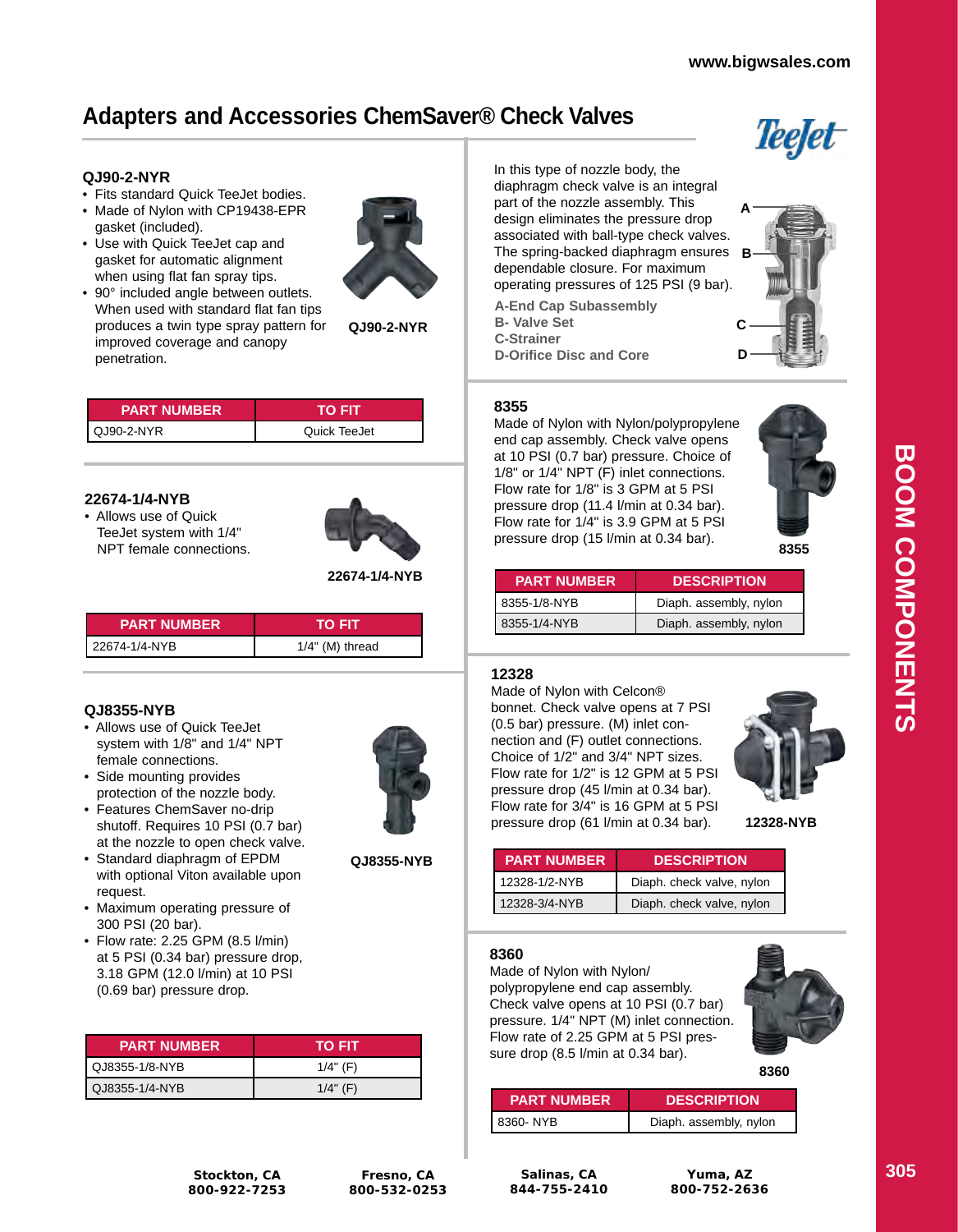# **Adapters and Accessories ChemSaver® Check Valves**

### **QJ90-2-NYR**

- Fits standard Quick TeeJet bodies.
- Made of Nylon with CP19438-EPR gasket (included).
- Use with Quick TeeJet cap and gasket for automatic alignment when using flat fan spray tips.
- 90° included angle between outlets. When used with standard flat fan tips produces a twin type spray pattern for improved coverage and canopy penetration.



| <b>PART NUMBER</b> | то нт        |
|--------------------|--------------|
| QJ90-2-NYR         | Quick TeeJet |

#### **22674-1/4-NYB**

• Allows use of Quick TeeJet system with 1/4" NPT female connections.



**22674-1/4-NYB**

| <b>PART NUMBER</b> | TO FIT             |
|--------------------|--------------------|
| 22674-1/4-NYB      | $1/4$ " (M) thread |

### **QJ8355-NYB**

- Allows use of Quick TeeJet system with 1/8" and 1/4" NPT female connections.
- Side mounting provides protection of the nozzle body.
- Features ChemSaver no-drip shutoff. Requires 10 PSI (0.7 bar) at the nozzle to open check valve.
- Standard diaphragm of EPDM with optional Viton available upon request.
- Maximum operating pressure of 300 PSI (20 bar).
- Flow rate: 2.25 GPM (8.5 l/min) at 5 PSI (0.34 bar) pressure drop, 3.18 GPM (12.0 l/min) at 10 PSI (0.69 bar) pressure drop.

| <b>PART NUMBER</b> | TO FIT      |
|--------------------|-------------|
| LQJ8355-1/8-NYB    | $1/4$ " (F) |
| QJ8355-1/4-NYB     | $1/4$ " (F) |

In this type of nozzle body, the diaphragm check valve is an integral part of the nozzle assembly. This design eliminates the pressure drop associated with ball-type check valves. The spring-backed diaphragm ensures **B** dependable closure. For maximum operating pressures of 125 PSI (9 bar).

| <b>A-End Cap Subassembly</b>   |  |  |  |
|--------------------------------|--|--|--|
| <b>B-</b> Valve Set            |  |  |  |
| <b>C-Strainer</b>              |  |  |  |
| <b>D-Orifice Disc and Core</b> |  |  |  |

#### **8355**

Made of Nylon with Nylon/polypropylene end cap assembly. Check valve opens at 10 PSI (0.7 bar) pressure. Choice of 1/8" or 1/4" NPT (F) inlet connections. Flow rate for 1/8" is 3 GPM at 5 PSI pressure drop (11.4 l/min at 0.34 bar). Flow rate for 1/4" is 3.9 GPM at 5 PSI pressure drop (15 l/min at 0.34 bar).

**8355**

| <b>PART NUMBER</b> | <b>DESCRIPTION</b>     |
|--------------------|------------------------|
| 8355-1/8-NYB       | Diaph. assembly, nylon |
| 8355-1/4-NYB       | Diaph. assembly, nylon |

### **12328**

Made of Nylon with Celcon® bonnet. Check valve opens at 7 PSI (0.5 bar) pressure. (M) inlet connection and (F) outlet connections. Choice of 1/2" and 3/4" NPT sizes. Flow rate for 1/2" is 12 GPM at 5 PSI pressure drop (45 l/min at 0.34 bar). Flow rate for 3/4" is 16 GPM at 5 PSI pressure drop (61 l/min at 0.34 bar). **12328-NYB**



| <b>PART NUMBER</b> | <b>DESCRIPTION</b>        |
|--------------------|---------------------------|
| 12328-1/2-NYB      | Diaph. check valve, nylon |
| 12328-3/4-NYB      | Diaph. check valve, nylon |

#### **8360**

Made of Nylon with Nylon/ polypropylene end cap assembly. Check valve opens at 10 PSI (0.7 bar) pressure. 1/4" NPT (M) inlet connection. Flow rate of 2.25 GPM at 5 PSI pressure drop (8.5 l/min at 0.34 bar).



| <b>PART NUMBER</b> | <b>DESCRIPTION</b>     |  |
|--------------------|------------------------|--|
| 8360- NYB          | Diaph. assembly, nylon |  |

**Salinas, CA 844-755-2410**

**Fresno, CA 800-532-0253**

**QJ8355-NYB**

**Yuma, AZ 800-752-2636**

Teejet

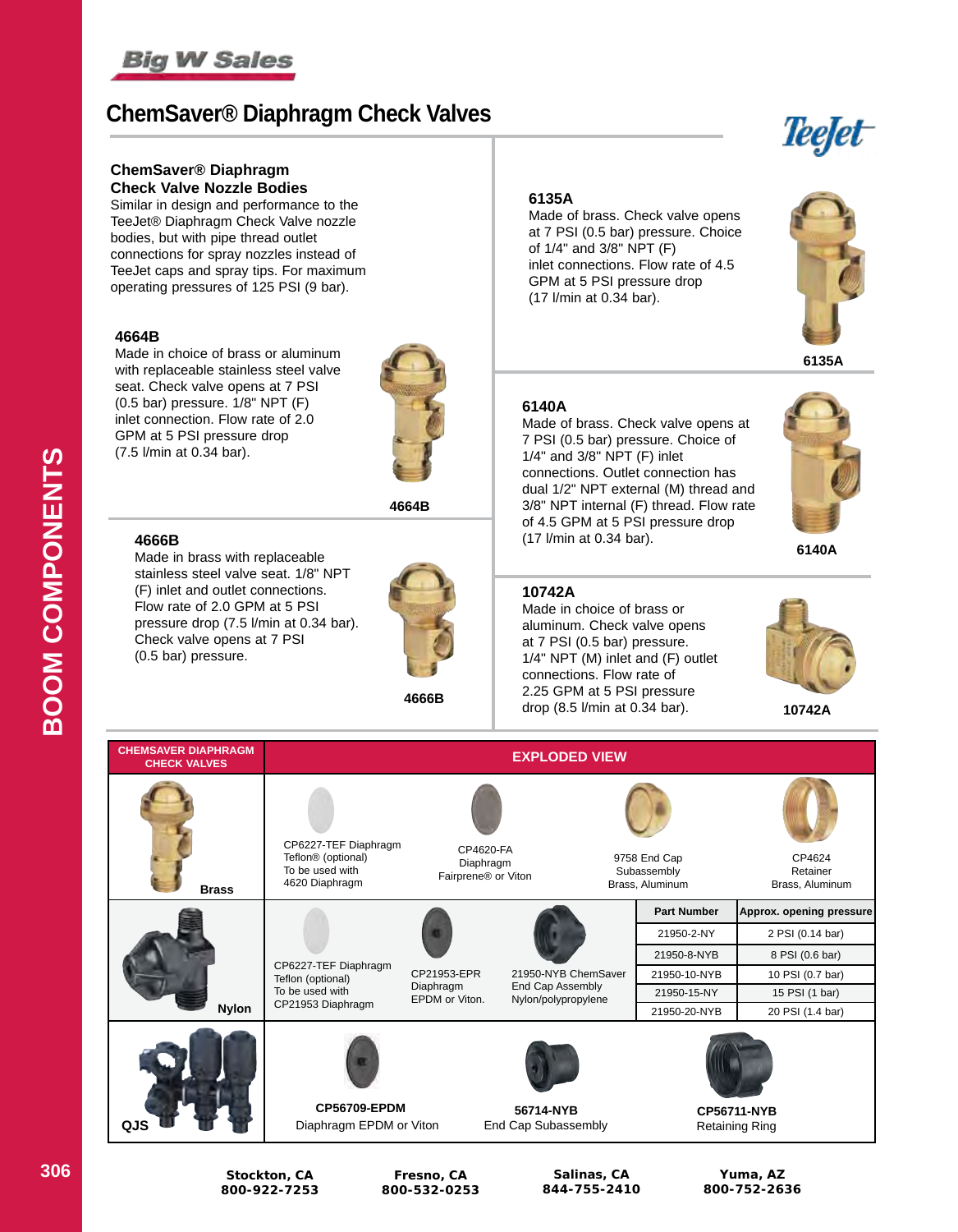

# **ChemSaver® Diaphragm Check Valves**

#### **ChemSaver® Diaphragm Check Valve Nozzle Bodies**

Similar in design and performance to the TeeJet® Diaphragm Check Valve nozzle bodies, but with pipe thread outlet connections for spray nozzles instead of TeeJet caps and spray tips. For maximum operating pressures of 125 PSI (9 bar).

#### **4664B**

Made in choice of brass or aluminum with replaceable stainless steel valve seat. Check valve opens at 7 PSI (0.5 bar) pressure. 1/8" NPT (F) inlet connection. Flow rate of 2.0 GPM at 5 PSI pressure drop (7.5 l/min at 0.34 bar).



**4664B**

#### **4666B**

Made in brass with replaceable stainless steel valve seat. 1/8" NPT (F) inlet and outlet connections. Flow rate of 2.0 GPM at 5 PSI pressure drop (7.5 l/min at 0.34 bar). Check valve opens at 7 PSI (0.5 bar) pressure.



**4666B**

#### **6135A**

Made of brass. Check valve opens at 7 PSI (0.5 bar) pressure. Choice of 1/4" and 3/8" NPT (F) inlet connections. Flow rate of 4.5 GPM at 5 PSI pressure drop (17 l/min at 0.34 bar).



**6135A**

#### **6140A**

Made of brass. Check valve opens at 7 PSI (0.5 bar) pressure. Choice of 1/4" and 3/8" NPT (F) inlet connections. Outlet connection has dual 1/2" NPT external (M) thread and 3/8" NPT internal (F) thread. Flow rate of 4.5 GPM at 5 PSI pressure drop (17 l/min at 0.34 bar). **6140A**

#### **10742A**

Made in choice of brass or aluminum. Check valve opens at 7 PSI (0.5 bar) pressure. 1/4" NPT (M) inlet and (F) outlet connections. Flow rate of 2.25 GPM at 5 PSI pressure drop (8.5 l/min at 0.34 bar).



**10742A**

| <b>CHEMSAVER DIAPHRAGM</b><br><b>CHECK VALVES</b> | <b>EXPLODED VIEW</b>                                                                        |                                               |                                         |                                                |                                             |
|---------------------------------------------------|---------------------------------------------------------------------------------------------|-----------------------------------------------|-----------------------------------------|------------------------------------------------|---------------------------------------------|
| <b>Brass</b>                                      | CP6227-TEF Diaphragm<br>Teflon <sup>®</sup> (optional)<br>To be used with<br>4620 Diaphragm | CP4620-FA<br>Diaphragm<br>Fairprene® or Viton |                                         | 9758 End Cap<br>Subassembly<br>Brass, Aluminum | CP4624<br>Retainer<br>Brass, Aluminum       |
|                                                   |                                                                                             |                                               |                                         | <b>Part Number</b>                             | Approx. opening pressure                    |
|                                                   | CP6227-TEF Diaphragm<br>Teflon (optional)<br>To be used with<br>CP21953 Diaphragm           |                                               |                                         | 21950-2-NY                                     | 2 PSI (0.14 bar)                            |
|                                                   |                                                                                             | CP21953-EPR<br>Diaphragm<br>EPDM or Viton.    |                                         | 21950-8-NYB                                    | 8 PSI (0.6 bar)                             |
|                                                   |                                                                                             |                                               | 21950-NYB ChemSaver                     | 21950-10-NYB                                   | 10 PSI (0.7 bar)                            |
|                                                   |                                                                                             |                                               | End Cap Assembly<br>Nylon/polypropylene | 21950-15-NY                                    | 15 PSI (1 bar)                              |
| <b>Nylon</b>                                      |                                                                                             |                                               |                                         | 21950-20-NYB                                   | 20 PSI (1.4 bar)                            |
| QJS                                               | <b>CP56709-EPDM</b><br>Diaphragm EPDM or Viton                                              |                                               | 56714-NYB<br>End Cap Subassembly        |                                                | <b>CP56711-NYB</b><br><b>Retaining Ring</b> |

**306 Stockton, CA 800-922-7253**

**Fresno, CA 800-532-0253**

**Salinas, CA 844-755-2410**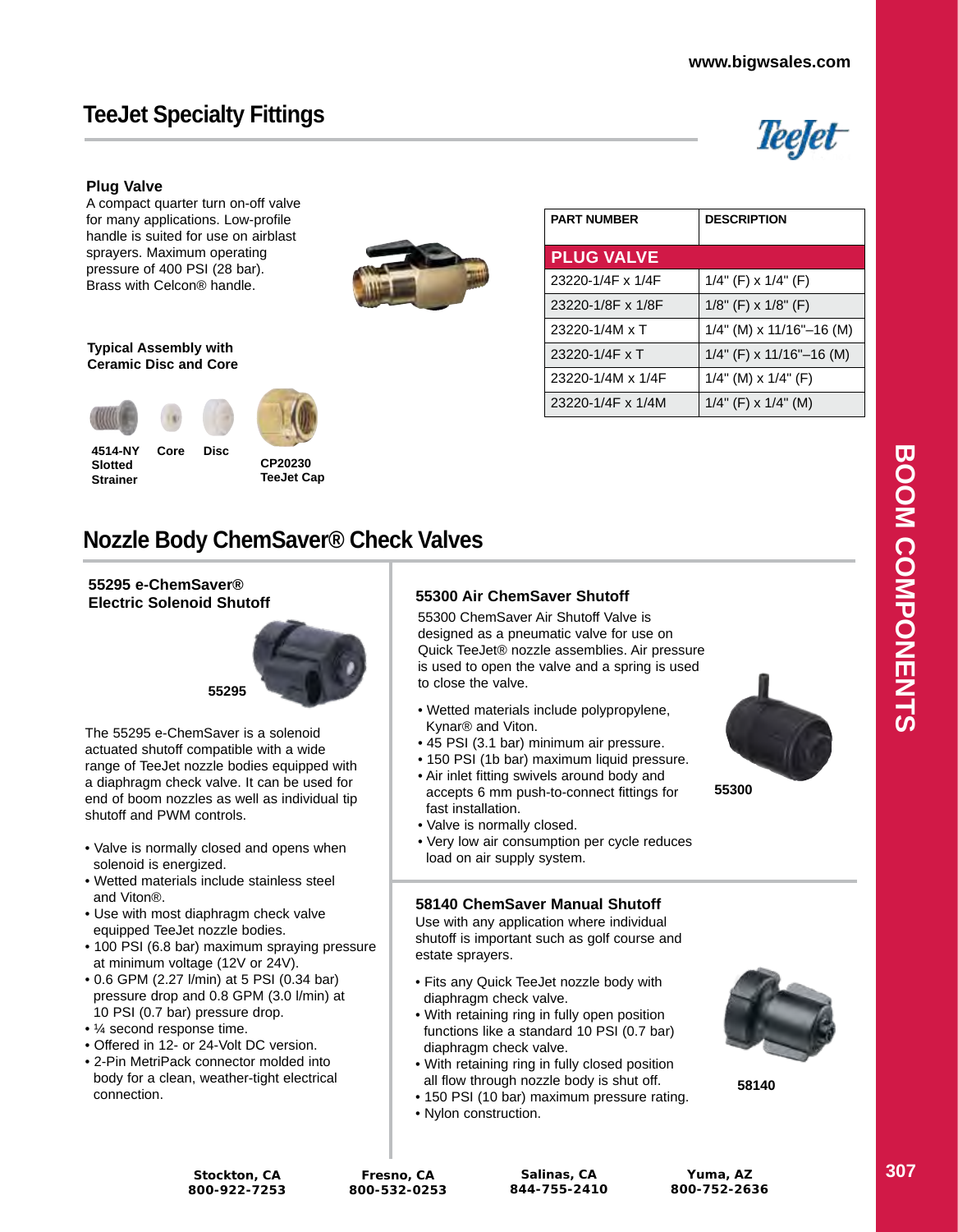# **TeeJet Specialty Fittings**



#### **Plug Valve**

A compact quarter turn on-off valve for many applications. Low-profile handle is suited for use on airblast sprayers. Maximum operating pressure of 400 PSI (28 bar). Brass with Celcon® handle.



#### **Typical Assembly with Ceramic Disc and Core**

**Core Disc**

**4514-NY Slotted Strainer**



| <b>PLUG VALVE</b> |                                |
|-------------------|--------------------------------|
| 23220-1/4F x 1/4F | $1/4$ " (F) x $1/4$ " (F)      |
| 23220-1/8F x 1/8F | $1/8$ " (F) x $1/8$ " (F)      |
| 23220-1/4M x T    | $1/4$ " (M) x $11/16$ "-16 (M) |
| 23220-1/4F x T    | $1/4$ " (F) x $11/16$ "-16 (M) |
| 23220-1/4M x 1/4F | $1/4$ " (M) x $1/4$ " (F)      |
| 23220-1/4F x 1/4M | $1/4$ " (F) x $1/4$ " (M)      |
|                   |                                |

**PART NUMBER DESCRIPTION**

# **Nozzle Body ChemSaver® Check Valves**

## **55295 e-ChemSaver®**



The 55295 e-ChemSaver is a solenoid actuated shutoff compatible with a wide range of TeeJet nozzle bodies equipped with a diaphragm check valve. It can be used for end of boom nozzles as well as individual tip shutoff and PWM controls.

- Valve is normally closed and opens when solenoid is energized.
- Wetted materials include stainless steel and Viton®.
- Use with most diaphragm check valve equipped TeeJet nozzle bodies.
- 100 PSI (6.8 bar) maximum spraying pressure at minimum voltage (12V or 24V).
- 0.6 GPM (2.27 l/min) at 5 PSI (0.34 bar) pressure drop and 0.8 GPM (3.0 l/min) at 10 PSI (0.7 bar) pressure drop.
- ¼ second response time.
- Offered in 12- or 24-Volt DC version
- 2-Pin MetriPack connector molded into body for a clean, weather-tight electrical connection.

### **Electric Solenoid Shutoff 55300 Air ChemSaver Shutoff**

55300 ChemSaver Air Shutoff Valve is designed as a pneumatic valve for use on Quick TeeJet® nozzle assemblies. Air pressure is used to open the valve and a spring is used to close the valve.

- Wetted materials include polypropylene, Kynar® and Viton.
- 45 PSI (3.1 bar) minimum air pressure.
- 150 PSI (1b bar) maximum liquid pressure.
- Air inlet fitting swivels around body and accepts 6 mm push-to-connect fittings for fast installation.
- Valve is normally closed.
- Very low air consumption per cycle reduces load on air supply system.

#### **58140 ChemSaver Manual Shutoff**

Use with any application where individual shutoff is important such as golf course and estate sprayers.

- Fits any Quick TeeJet nozzle body with diaphragm check valve.
- With retaining ring in fully open position functions like a standard 10 PSI (0.7 bar) diaphragm check valve.
- With retaining ring in fully closed position all flow through nozzle body is shut off.
- 150 PSI (10 bar) maximum pressure rating.
- Nylon construction.



**58140**

**55300**

**Stockton, CA 800-922-7253**

**Fresno, CA 800-532-0253**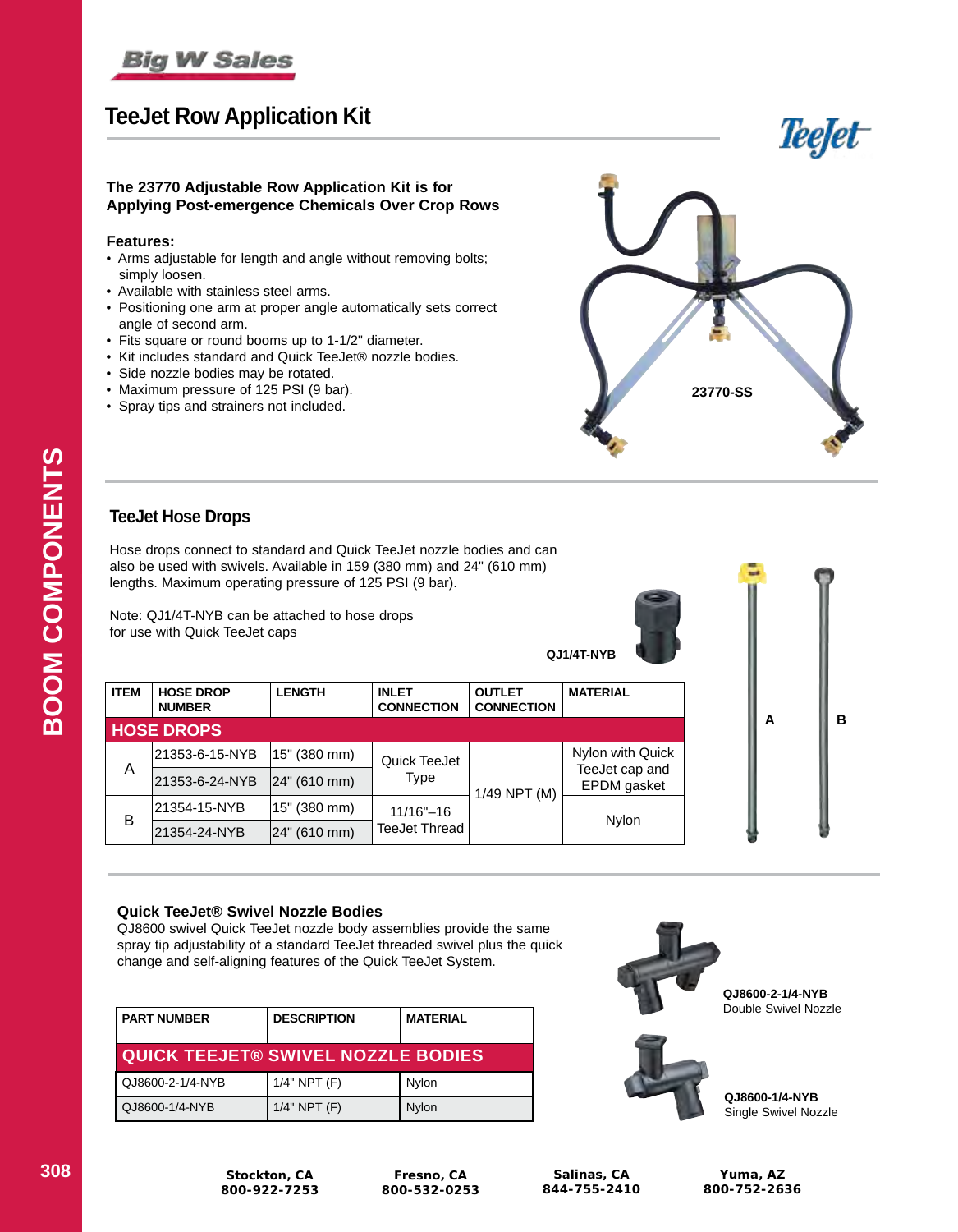

# **TeeJet Row Application Kit**



#### **The 23770 Adjustable Row Application Kit is for Applying Post-emergence Chemicals Over Crop Rows**

### **Features:**

- Arms adjustable for length and angle without removing bolts; simply loosen.
- Available with stainless steel arms.
- Positioning one arm at proper angle automatically sets correct angle of second arm.
- Fits square or round booms up to 1-1/2" diameter.
- Kit includes standard and Quick TeeJet® nozzle bodies.
- Side nozzle bodies may be rotated.
- Maximum pressure of 125 PSI (9 bar).
- Spray tips and strainers not included.



### **TeeJet Hose Drops**

Hose drops connect to standard and Quick TeeJet nozzle bodies and can also be used with swivels. Available in 159 (380 mm) and 24" (610 mm) lengths. Maximum operating pressure of 125 PSI (9 bar).

Note: QJ1/4T-NYB can be attached to hose drops for use with Quick TeeJet caps



| <b>ITEM</b> | <b>HOSE DROP</b><br><b>NUMBER</b> | <b>LENGTH</b> | <b>INLET</b><br><b>CONNECTION</b> | <b>OUTLET</b><br><b>CONNECTION</b> | <b>MATERIAL</b>               |       |
|-------------|-----------------------------------|---------------|-----------------------------------|------------------------------------|-------------------------------|-------|
|             | <b>HOSE DROPS</b>                 |               |                                   |                                    |                               |       |
| A           | 21353-6-15-NYB                    | 15" (380 mm)  | Quick TeeJet<br>Type              | 1/49 NPT (M)                       | Nylon with Quick              |       |
|             | 21353-6-24-NYB                    | 24" (610 mm)  |                                   |                                    | TeeJet cap and<br>EPDM gasket |       |
| B           | 21354-15-NYB                      | 15" (380 mm)  | $11/16" - 16$<br>TeeJet Thread    |                                    |                               | Nylon |
|             | 21354-24-NYB                      | 24" (610 mm)  |                                   |                                    |                               |       |

#### **Quick TeeJet® Swivel Nozzle Bodies**

QJ8600 swivel Quick TeeJet nozzle body assemblies provide the same spray tip adjustability of a standard TeeJet threaded swivel plus the quick change and self-aligning features of the Quick TeeJet System.

| <b>PART NUMBER</b>                        | <b>DESCRIPTION</b> | <b>MATERIAL</b> |
|-------------------------------------------|--------------------|-----------------|
| <b>QUICK TEEJET® SWIVEL NOZZLE BODIES</b> |                    |                 |
| QJ8600-2-1/4-NYB                          | $1/4"$ NPT $(F)$   | Nylon           |
| QJ8600-1/4-NYB                            | $1/4"$ NPT $(F)$   | Nylon           |



**QJ8600-2-1/4-NYB** Double Swivel Nozzle

**A B**

в



**QJ8600-1/4-NYB** Single Swivel Nozzle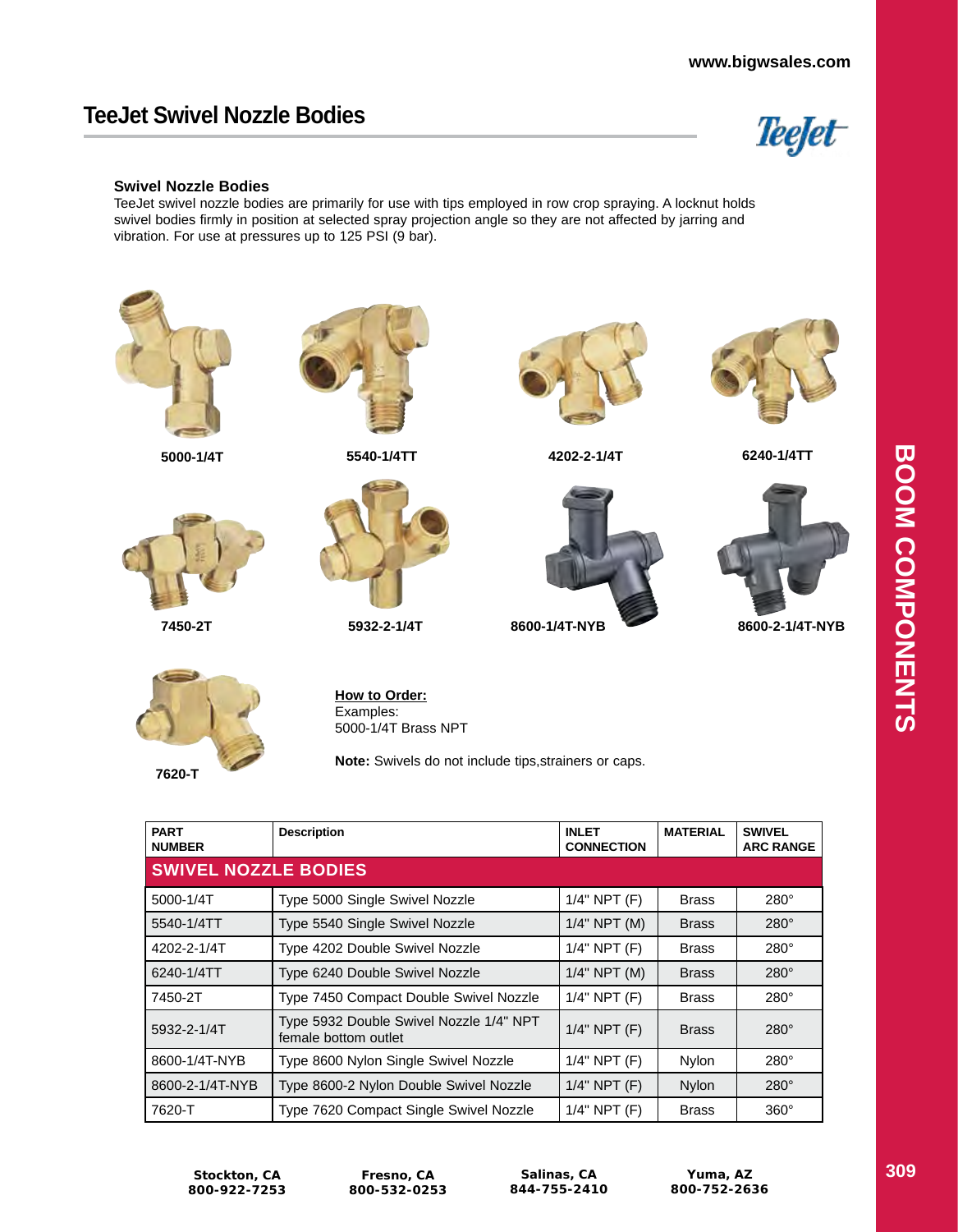# **TeeJet Swivel Nozzle Bodies**



#### **Swivel Nozzle Bodies**

TeeJet swivel nozzle bodies are primarily for use with tips employed in row crop spraying. A locknut holds swivel bodies firmly in position at selected spray projection angle so they are not affected by jarring and vibration. For use at pressures up to 125 PSI (9 bar).



| <b>SWIVEL NOZZLE BODIES</b> |                                                                 |                   |              |             |
|-----------------------------|-----------------------------------------------------------------|-------------------|--------------|-------------|
| 5000-1/4T                   | Type 5000 Single Swivel Nozzle                                  | $1/4$ " NPT $(F)$ | <b>Brass</b> | $280^\circ$ |
| 5540-1/4TT                  | Type 5540 Single Swivel Nozzle                                  | $1/4"$ NPT $(M)$  | <b>Brass</b> | $280^\circ$ |
| 4202-2-1/4T                 | Type 4202 Double Swivel Nozzle                                  | $1/4$ " NPT $(F)$ | <b>Brass</b> | $280^\circ$ |
| 6240-1/4TT                  | Type 6240 Double Swivel Nozzle                                  | $1/4$ " NPT (M)   | <b>Brass</b> | $280^\circ$ |
| 7450-2T                     | Type 7450 Compact Double Swivel Nozzle                          | $1/4$ " NPT $(F)$ | <b>Brass</b> | $280^\circ$ |
| 5932-2-1/4T                 | Type 5932 Double Swivel Nozzle 1/4" NPT<br>female bottom outlet | $1/4$ " NPT $(F)$ | <b>Brass</b> | $280^\circ$ |
| 8600-1/4T-NYB               | Type 8600 Nylon Single Swivel Nozzle                            | $1/4"$ NPT $(F)$  | Nylon        | $280^\circ$ |
| 8600-2-1/4T-NYB             | Type 8600-2 Nylon Double Swivel Nozzle                          | $1/4$ " NPT $(F)$ | Nylon        | $280^\circ$ |
| 7620-T                      | Type 7620 Compact Single Swivel Nozzle                          | $1/4"$ NPT $(F)$  | <b>Brass</b> | $360^\circ$ |

**Fresno, CA 800-532-0253**

**Salinas, CA 844-755-2410**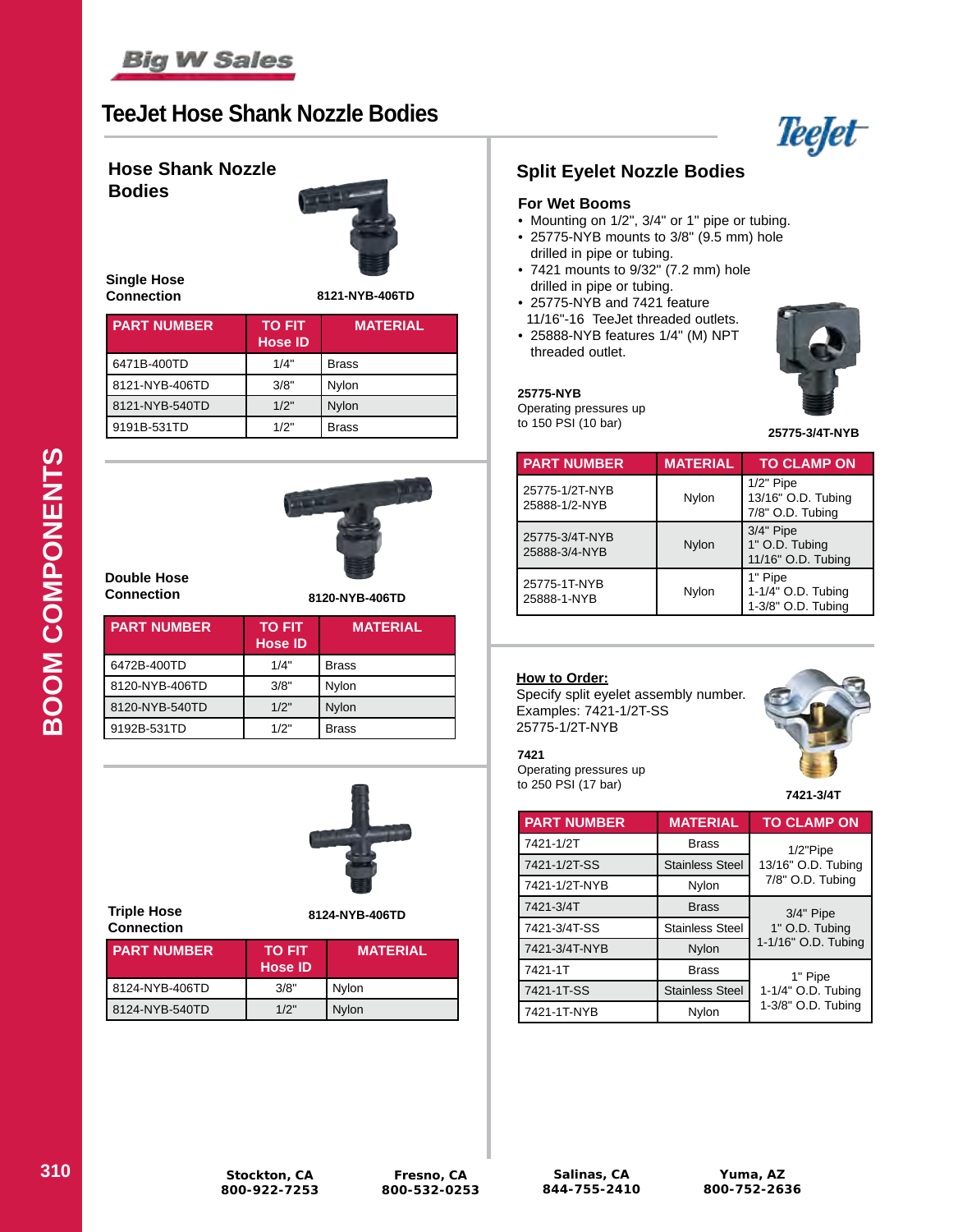

# **TeeJet Hose Shank Nozzle Bodies**



#### **Hose Shank Nozzle Bodies**



**Single Hose Connection**

**8121-NYB-406TD**

| <b>PART NUMBER</b> | <b>TO FIT</b><br><b>Hose ID</b> | <b>MATERIAL</b> |
|--------------------|---------------------------------|-----------------|
| 6471B-400TD        | 1/4"                            | <b>Brass</b>    |
| 8121-NYB-406TD     | 3/8"                            | Nylon           |
| 8121-NYB-540TD     | 1/2"                            | <b>Nylon</b>    |
| 9191B-531TD        | 1/2"                            | <b>Brass</b>    |



**Double Hose Connection**

**8120-NYB-406TD**

| <b>PART NUMBER</b> | <b>TO FIT</b><br><b>Hose ID</b> | <b>MATERIAL</b> |
|--------------------|---------------------------------|-----------------|
| 6472B-400TD        | 1/4"                            | <b>Brass</b>    |
| 8120-NYB-406TD     | 3/8"                            | Nylon           |
| 8120-NYB-540TD     | 1/2"                            | Nylon           |
| 9192B-531TD        | 1/2"                            | <b>Brass</b>    |



| <b>Triple Hose</b><br><b>Connection</b> | 8124-NYB-406TD                  |                 |  |
|-----------------------------------------|---------------------------------|-----------------|--|
| <b>PART NUMBER</b>                      | <b>TO FIT</b><br><b>Hose ID</b> | <b>MATERIAL</b> |  |
| 8124-NYB-406TD                          | 3/8"                            | Nylon           |  |
| 8124-NYB-540TD                          | 1/2"                            | Nylon           |  |

### **Split Eyelet Nozzle Bodies**

#### **For Wet Booms**

- Mounting on 1/2", 3/4" or 1" pipe or tubing. • 25775-NYB mounts to 3/8" (9.5 mm) hole
- drilled in pipe or tubing.
- 7421 mounts to 9/32" (7.2 mm) hole drilled in pipe or tubing.
- 25775-NYB and 7421 feature
- 11/16"-16 TeeJet threaded outlets. • 25888-NYB features 1/4" (M) NPT threaded outlet.



**25775-NYB** Operating pressures up to 150 PSI (10 bar)

**25775-3/4T-NYB**

| <b>PART NUMBER</b>              | <b>MATERIAL</b> | <b>TO CLAMP ON</b>                                    |
|---------------------------------|-----------------|-------------------------------------------------------|
| 25775-1/2T-NYB<br>25888-1/2-NYB | Nylon           | $1/2"$ Pipe<br>13/16" O.D. Tubing<br>7/8" O.D. Tubing |
| 25775-3/4T-NYB<br>25888-3/4-NYB | Nylon           | $3/4"$ Pipe<br>1" O.D. Tubing<br>11/16" O.D. Tubing   |
| 25775-1T-NYB<br>25888-1-NYB     | Nylon           | 1" Pipe<br>1-1/4" O.D. Tubing<br>1-3/8" O.D. Tubing   |

### **How to Order:**

Operating pressures up to 250 PSI (17 bar)

**7421**

Specify split eyelet assembly number. Examples: 7421-1/2T-SS 25775-1/2T-NYB

**7421-3/4T**

| <b>PART NUMBER</b> | <b>MATERIAL</b>        | <b>TO CLAMP ON</b>                    |  |
|--------------------|------------------------|---------------------------------------|--|
| 7421-1/2T          | <b>Brass</b>           | $1/2$ "Pipe                           |  |
| 7421-1/2T-SS       | <b>Stainless Steel</b> | 13/16" O.D. Tubing                    |  |
| 7421-1/2T-NYB      | Nylon                  | 7/8" O.D. Tubing                      |  |
| 7421-3/4T          | <b>Brass</b>           | 3/4" Pipe                             |  |
| 7421-3/4T-SS       | <b>Stainless Steel</b> | 1" O.D. Tubing<br>1-1/16" O.D. Tubing |  |
| 7421-3/4T-NYB      | Nylon                  |                                       |  |
| 7421-1T            | <b>Brass</b>           | 1" Pipe                               |  |
| 7421-1T-SS         | <b>Stainless Steel</b> | 1-1/4" O.D. Tubing                    |  |
| 7421-1T-NYB        | Nylon                  | 1-3/8" O.D. Tubing                    |  |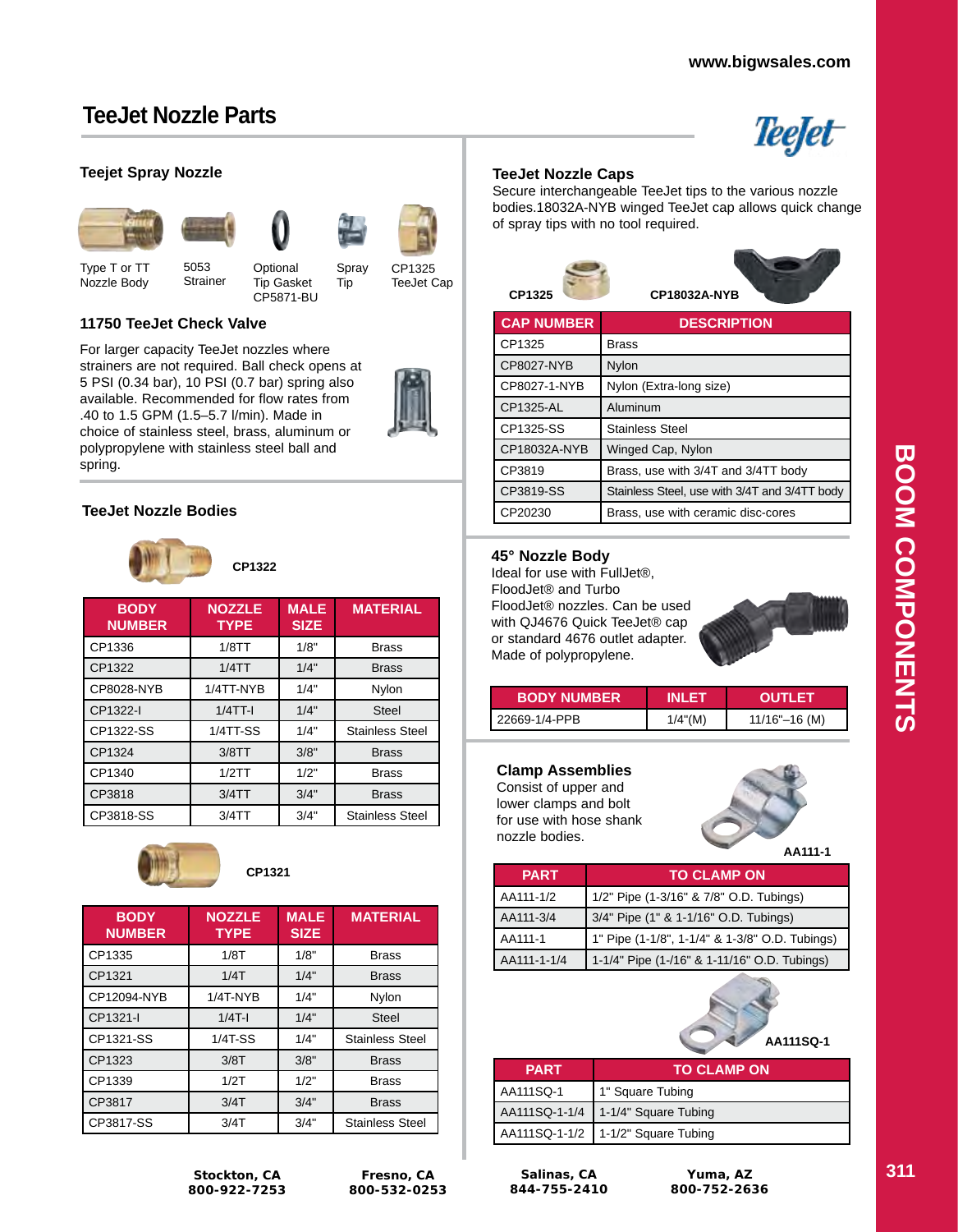Teefet

# **TeeJet Nozzle Parts**

### **Teejet Spray Nozzle**









Spray Tip

Type T or TT Nozzle Body **Strainer Optional** Tip Gasket CP5871-BU

CP1325 TeeJet Cap

### **11750 TeeJet Check Valve**

5053

For larger capacity TeeJet nozzles where strainers are not required. Ball check opens at 5 PSI (0.34 bar), 10 PSI (0.7 bar) spring also available. Recommended for flow rates from .40 to 1.5 GPM (1.5–5.7 l/min). Made in choice of stainless steel, brass, aluminum or polypropylene with stainless steel ball and spring.



### **TeeJet Nozzle Bodies**



**BODY NUMBER NOZZLE TYPE MALE SIZE MATERIAL** CP1336 | 1/8TT | 1/8" | Brass CP1322 1/4TT 1/4" Brass CP8028-NYB 1/4TT-NYB 1/4" Nylon CP1322-I 1/4TT-I 1/4" Steel CP1322-SS | 1/4TT-SS | 1/4" | Stainless Steel CP1324 3/8TT 3/8" Brass CP1340 1/2TT 1/2" Brass CP3818 3/4TT 3/4" Brass CP3818-SS 3/4TT 3/4" Stainless Steel



### **CP1321**

| <b>BODY</b><br><b>NUMBER</b> | <b>NOZZLE</b><br><b>TYPE</b> | <b>MALE</b><br><b>SIZE</b> | <b>MATERIAL</b>        |
|------------------------------|------------------------------|----------------------------|------------------------|
| CP1335                       | 1/8T                         | 1/8"                       | <b>Brass</b>           |
| CP1321                       | 1/4T                         | 1/4"                       | <b>Brass</b>           |
| CP12094-NYB                  | $1/4T$ -NYB                  | 1/4"                       | Nylon                  |
| CP1321-I                     | $1/4T-1$                     | 1/4"                       | <b>Steel</b>           |
| CP1321-SS                    | $1/4T-SS$                    | 1/4"                       | <b>Stainless Steel</b> |
| CP1323                       | 3/8T                         | 3/8"                       | <b>Brass</b>           |
| CP1339                       | 1/2T                         | 1/2"                       | <b>Brass</b>           |
| CP3817                       | 3/4T                         | 3/4"                       | <b>Brass</b>           |
| CP3817-SS                    | 3/4T                         | 3/4"                       | <b>Stainless Steel</b> |

**Stockton, CA 800-922-7253**

#### **TeeJet Nozzle Caps**

Secure interchangeable TeeJet tips to the various nozzle bodies.18032A-NYB winged TeeJet cap allows quick change of spray tips with no tool required.



| <b>CAP NUMBER</b> | <b>DESCRIPTION</b>                            |
|-------------------|-----------------------------------------------|
| CP1325            | Brass                                         |
| CP8027-NYB        | Nylon                                         |
| CP8027-1-NYB      | Nylon (Extra-long size)                       |
| CP1325-AL         | Aluminum                                      |
| CP1325-SS         | <b>Stainless Steel</b>                        |
| CP18032A-NYB      | Winged Cap, Nylon                             |
| CP3819            | Brass, use with 3/4T and 3/4TT body           |
| CP3819-SS         | Stainless Steel, use with 3/4T and 3/4TT body |
| CP20230           | Brass, use with ceramic disc-cores            |

### **45° Nozzle Body**

Ideal for use with FullJet®, FloodJet® and Turbo FloodJet® nozzles. Can be used with QJ4676 Quick TeeJet® cap or standard 4676 outlet adapter. Made of polypropylene.



| <b>BODY NUMBER</b> | INI FT     | <b>OUTLET</b>     |
|--------------------|------------|-------------------|
| 22669-1/4-PPB      | $1/4$ "(M) | $11/16" - 16$ (M) |

### **Clamp Assemblies**

Consist of upper and lower clamps and bolt for use with hose shank nozzle bodies.

**AA111-1**

| <b>PART</b> | <b>TO CLAMP ON</b>                             |  |
|-------------|------------------------------------------------|--|
| AA111-1/2   | 1/2" Pipe (1-3/16" & 7/8" O.D. Tubings)        |  |
| AA111-3/4   | 3/4" Pipe (1" & 1-1/16" O.D. Tubings)          |  |
| AA111-1     | 1" Pipe (1-1/8", 1-1/4" & 1-3/8" O.D. Tubings) |  |
| AA111-1-1/4 | 1-1/4" Pipe (1-/16" & 1-11/16" O.D. Tubings)   |  |



| <b>PART</b> | <b>TO CLAMP ON</b>                   |  |
|-------------|--------------------------------------|--|
| AA111SQ-1   | 1" Square Tubing                     |  |
|             | AA111SQ-1-1/4   1-1/4" Square Tubing |  |
|             | AA111SQ-1-1/2   1-1/2" Square Tubing |  |

**Salinas, CA 844-755-2410**